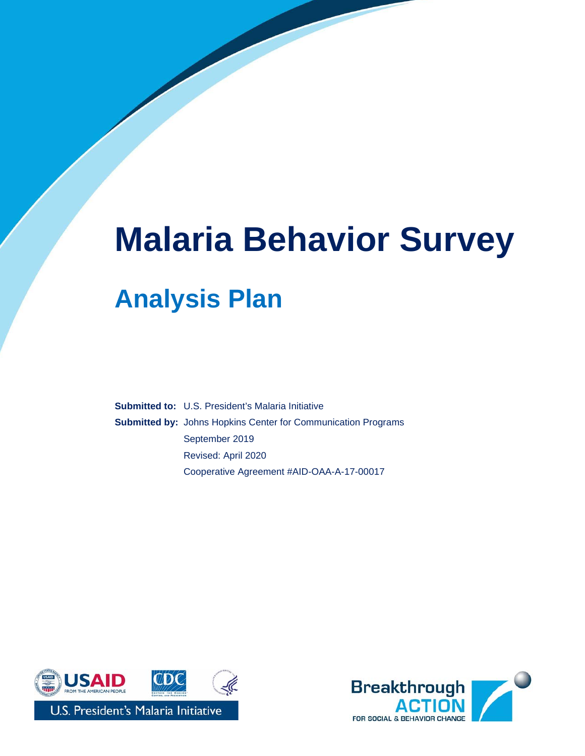# **Malaria Behavior Survey Analysis Plan**

**Submitted to:** U.S. President's Malaria Initiative **Submitted by:** Johns Hopkins Center for Communication Programs September 2019 Revised: April 2020 Cooperative Agreement #AID-OAA-A-17-00017



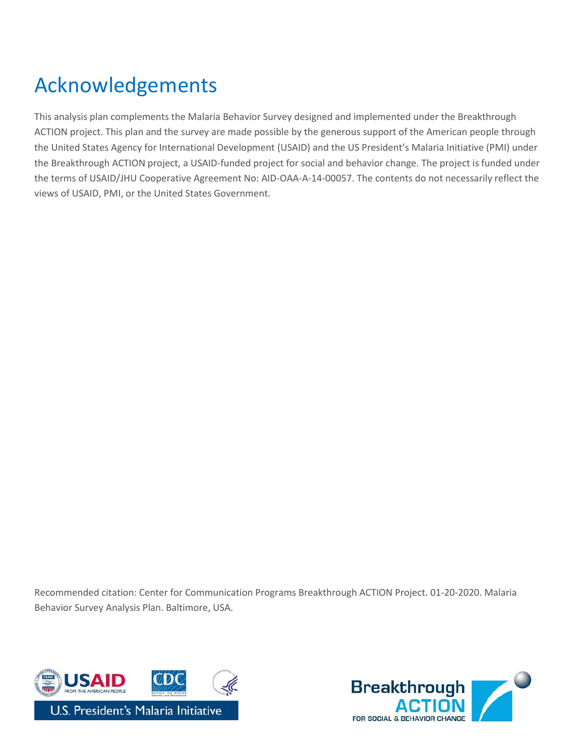# <span id="page-1-0"></span>Acknowledgements

This analysis plan complements the Malaria Behavior Survey designed and implemented under the Breakthrough ACTION project. This plan and the survey are made possible by the generous support of the American people through the United States Agency for International Development (USAID) and the US President's Malaria Initiative (PMI) under the Breakthrough ACTION project, a USAID-funded project for social and behavior change. The project is funded under the terms of USAID/JHU Cooperative Agreement No: AID-OAA-A-14-00057. The contents do not necessarily reflect the views of USAID, PMI, or the United States Government.

Recommended citation: Center for Communication Programs Breakthrough ACTION Project. 01-20-2020. Malaria Behavior Survey Analysis Plan. Baltimore, USA.



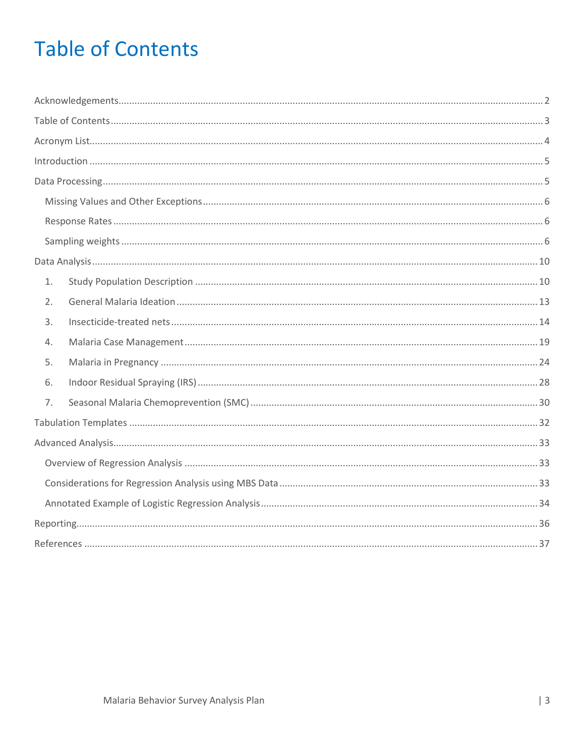# <span id="page-2-0"></span>**Table of Contents**

| 1. |  |
|----|--|
| 2. |  |
| 3. |  |
| 4. |  |
| 5. |  |
| 6. |  |
| 7. |  |
|    |  |
|    |  |
|    |  |
|    |  |
|    |  |
|    |  |
|    |  |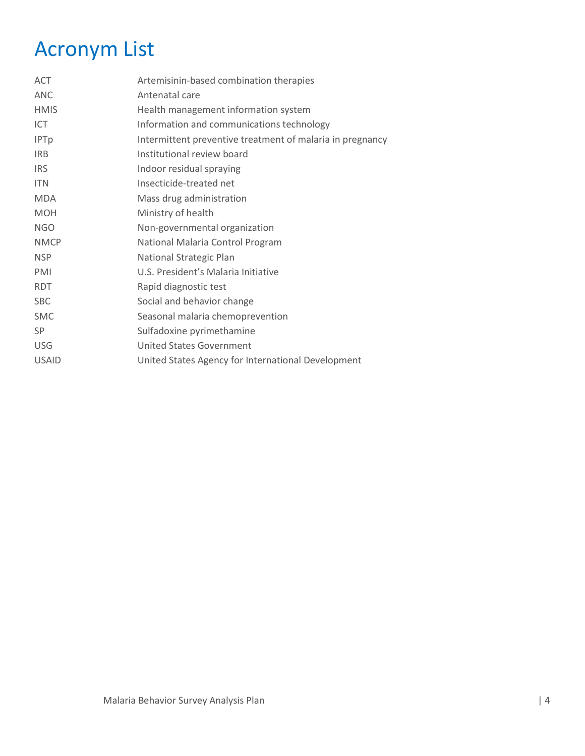# <span id="page-3-0"></span>Acronym List

| <b>ACT</b>   | Artemisinin-based combination therapies                   |
|--------------|-----------------------------------------------------------|
| <b>ANC</b>   | Antenatal care                                            |
| <b>HMIS</b>  | Health management information system                      |
| ICT          | Information and communications technology                 |
| <b>IPTp</b>  | Intermittent preventive treatment of malaria in pregnancy |
| <b>IRB</b>   | Institutional review board                                |
| <b>IRS</b>   | Indoor residual spraying                                  |
| <b>ITN</b>   | Insecticide-treated net                                   |
| <b>MDA</b>   | Mass drug administration                                  |
| <b>MOH</b>   | Ministry of health                                        |
| <b>NGO</b>   | Non-governmental organization                             |
| <b>NMCP</b>  | National Malaria Control Program                          |
| <b>NSP</b>   | National Strategic Plan                                   |
| <b>PMI</b>   | U.S. President's Malaria Initiative                       |
| <b>RDT</b>   | Rapid diagnostic test                                     |
| <b>SBC</b>   | Social and behavior change                                |
| <b>SMC</b>   | Seasonal malaria chemoprevention                          |
| <b>SP</b>    | Sulfadoxine pyrimethamine                                 |
| <b>USG</b>   | United States Government                                  |
| <b>USAID</b> | United States Agency for International Development        |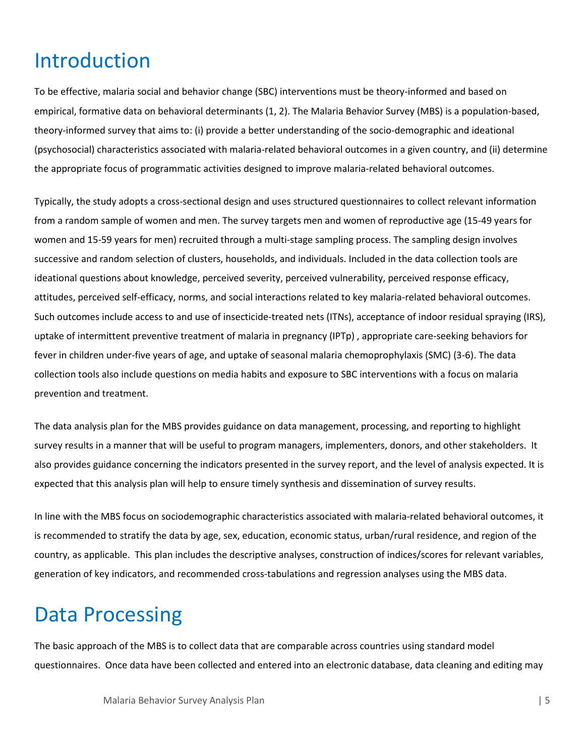# <span id="page-4-0"></span>Introduction

To be effective, malaria social and behavior change (SBC) interventions must be theory-informed and based on empirical, formative data on behavioral determinants (1, 2). The Malaria Behavior Survey (MBS) is a population-based, theory-informed survey that aims to: (i) provide a better understanding of the socio-demographic and ideational (psychosocial) characteristics associated with malaria-related behavioral outcomes in a given country, and (ii) determine the appropriate focus of programmatic activities designed to improve malaria-related behavioral outcomes.

Typically, the study adopts a cross-sectional design and uses structured questionnaires to collect relevant information from a random sample of women and men. The survey targets men and women of reproductive age (15-49 years for women and 15-59 years for men) recruited through a multi-stage sampling process. The sampling design involves successive and random selection of clusters, households, and individuals. Included in the data collection tools are ideational questions about knowledge, perceived severity, perceived vulnerability, perceived response efficacy, attitudes, perceived self-efficacy, norms, and social interactions related to key malaria-related behavioral outcomes. Such outcomes include access to and use of insecticide-treated nets (ITNs), acceptance of indoor residual spraying (IRS), uptake of intermittent preventive treatment of malaria in pregnancy (IPTp) , appropriate care-seeking behaviors for fever in children under-five years of age, and uptake of seasonal malaria chemoprophylaxis (SMC) (3-6). The data collection tools also include questions on media habits and exposure to SBC interventions with a focus on malaria prevention and treatment.

The data analysis plan for the MBS provides guidance on data management, processing, and reporting to highlight survey results in a manner that will be useful to program managers, implementers, donors, and other stakeholders. It also provides guidance concerning the indicators presented in the survey report, and the level of analysis expected. It is expected that this analysis plan will help to ensure timely synthesis and dissemination of survey results.

In line with the MBS focus on sociodemographic characteristics associated with malaria-related behavioral outcomes, it is recommended to stratify the data by age, sex, education, economic status, urban/rural residence, and region of the country, as applicable. This plan includes the descriptive analyses, construction of indices/scores for relevant variables, generation of key indicators, and recommended cross-tabulations and regression analyses using the MBS data.

# <span id="page-4-1"></span>Data Processing

The basic approach of the MBS is to collect data that are comparable across countries using standard model questionnaires. Once data have been collected and entered into an electronic database, data cleaning and editing may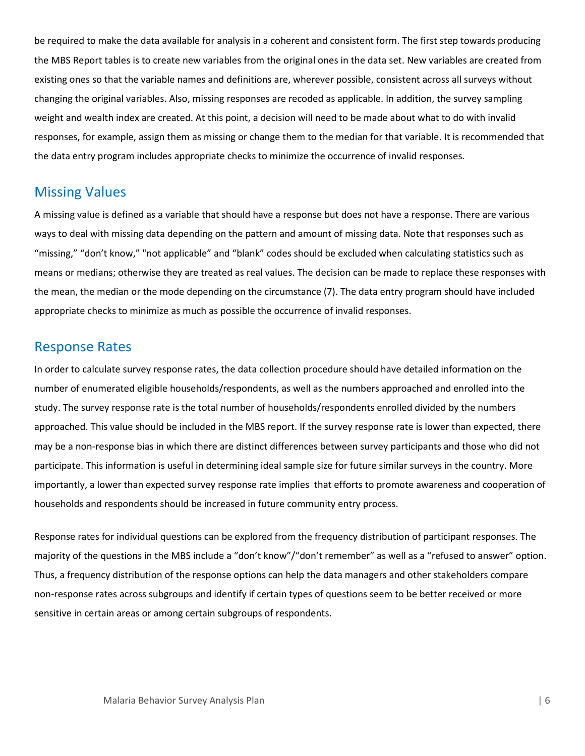be required to make the data available for analysis in a coherent and consistent form. The first step towards producing the MBS Report tables is to create new variables from the original ones in the data set. New variables are created from existing ones so that the variable names and definitions are, wherever possible, consistent across all surveys without changing the original variables. Also, missing responses are recoded as applicable. In addition, the survey sampling weight and wealth index are created. At this point, a decision will need to be made about what to do with invalid responses, for example, assign them as missing or change them to the median for that variable. It is recommended that the data entry program includes appropriate checks to minimize the occurrence of invalid responses.

# <span id="page-5-0"></span>Missing Values

A missing value is defined as a variable that should have a response but does not have a response. There are various ways to deal with missing data depending on the pattern and amount of missing data. Note that responses such as "missing," "don't know," "not applicable" and "blank" codes should be excluded when calculating statistics such as means or medians; otherwise they are treated as real values. The decision can be made to replace these responses with the mean, the median or the mode depending on the circumstance (7). The data entry program should have included appropriate checks to minimize as much as possible the occurrence of invalid responses.

# <span id="page-5-1"></span>Response Rates

In order to calculate survey response rates, the data collection procedure should have detailed information on the number of enumerated eligible households/respondents, as well as the numbers approached and enrolled into the study. The survey response rate is the total number of households/respondents enrolled divided by the numbers approached. This value should be included in the MBS report. If the survey response rate is lower than expected, there may be a non-response bias in which there are distinct differences between survey participants and those who did not participate. This information is useful in determining ideal sample size for future similar surveys in the country. More importantly, a lower than expected survey response rate implies that efforts to promote awareness and cooperation of households and respondents should be increased in future community entry process.

<span id="page-5-2"></span>Response rates for individual questions can be explored from the frequency distribution of participant responses. The majority of the questions in the MBS include a "don't know"/"don't remember" as well as a "refused to answer" option. Thus, a frequency distribution of the response options can help the data managers and other stakeholders compare non-response rates across subgroups and identify if certain types of questions seem to be better received or more sensitive in certain areas or among certain subgroups of respondents.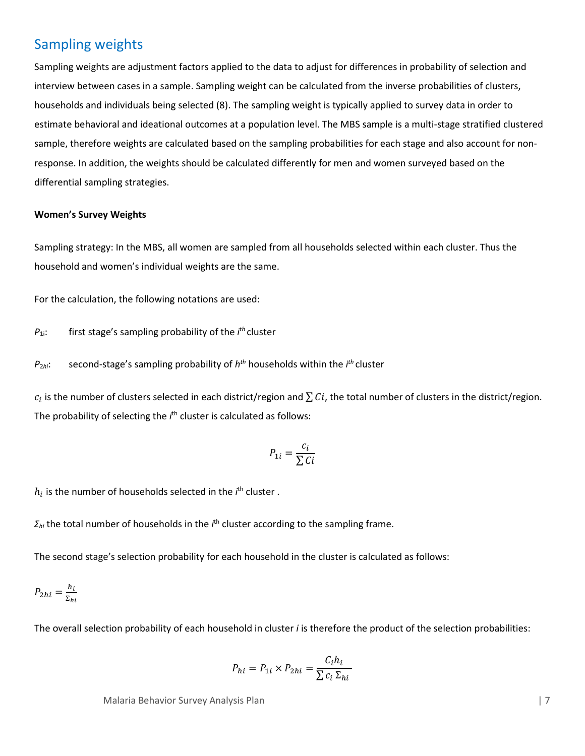# Sampling weights

Sampling weights are adjustment factors applied to the data to adjust for differences in probability of selection and interview between cases in a sample. Sampling weight can be calculated from the inverse probabilities of clusters, households and individuals being selected (8). The sampling weight is typically applied to survey data in order to estimate behavioral and ideational outcomes at a population level. The MBS sample is a multi-stage stratified clustered sample, therefore weights are calculated based on the sampling probabilities for each stage and also account for nonresponse. In addition, the weights should be calculated differently for men and women surveyed based on the differential sampling strategies.

#### **Women's Survey Weights**

Sampling strategy: In the MBS, all women are sampled from all households selected within each cluster. Thus the household and women's individual weights are the same.

For the calculation, the following notations are used:

*P*1i: first stage's sampling probability of the *i th* cluster

*P*2*hi*: second-stage's sampling probability of *hth* households within the *i th* cluster

 $c_i$  is the number of clusters selected in each district/region and  $\sum Ci$ , the total number of clusters in the district/region. The probability of selecting the *i*<sup>th</sup> cluster is calculated as follows:

$$
P_{1i} = \frac{c_i}{\sum Ci}
$$

 $h_i$  is the number of households selected in the  $i^{\text{th}}$  cluster .

*Σ<sub>hi</sub>* the total number of households in the *i*<sup>th</sup> cluster according to the sampling frame.

The second stage's selection probability for each household in the cluster is calculated as follows:

$$
P_{2hi} = \frac{h_i}{\Sigma_{hi}}
$$

The overall selection probability of each household in cluster *i* is therefore the product of the selection probabilities:

$$
P_{hi} = P_{1i} \times P_{2hi} = \frac{C_i h_i}{\sum c_i \Sigma_{hi}}
$$

Malaria Behavior Survey Analysis Plan | 7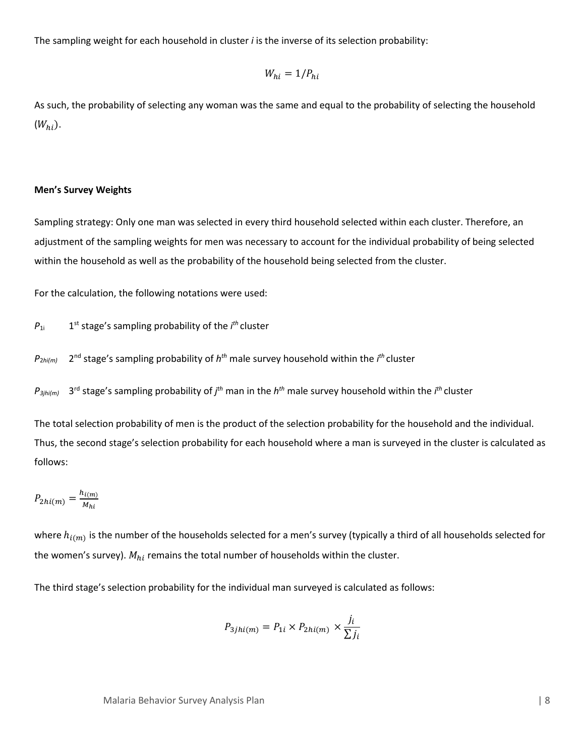The sampling weight for each household in cluster *i* is the inverse of its selection probability:

$$
W_{hi} = 1/P_{hi}
$$

As such, the probability of selecting any woman was the same and equal to the probability of selecting the household  $(W_{hi}).$ 

#### **Men's Survey Weights**

Sampling strategy: Only one man was selected in every third household selected within each cluster. Therefore, an adjustment of the sampling weights for men was necessary to account for the individual probability of being selected within the household as well as the probability of the household being selected from the cluster.

For the calculation, the following notations were used:

 $P_{1i}$  1<sup>st</sup> stage's sampling probability of the  $i<sup>th</sup>$  cluster

*P*2*hi(m)* 2nd stage's sampling probability of *hth* male survey household within the *i th* cluster

*P3jhi(m)* 3rd stage's sampling probability of *j th* man in the *hth* male survey household within the *i th* cluster

The total selection probability of men is the product of the selection probability for the household and the individual. Thus, the second stage's selection probability for each household where a man is surveyed in the cluster is calculated as follows:

$$
P_{2hi(m)} = \frac{h_{i(m)}}{M_{hi}}
$$

where  $h_{i(m)}$  is the number of the households selected for a men's survey (typically a third of all households selected for the women's survey).  $M_{hi}$  remains the total number of households within the cluster.

The third stage's selection probability for the individual man surveyed is calculated as follows:

$$
P_{3jhi(m)} = P_{1i} \times P_{2hi(m)} \times \frac{j_i}{\sum j_i}
$$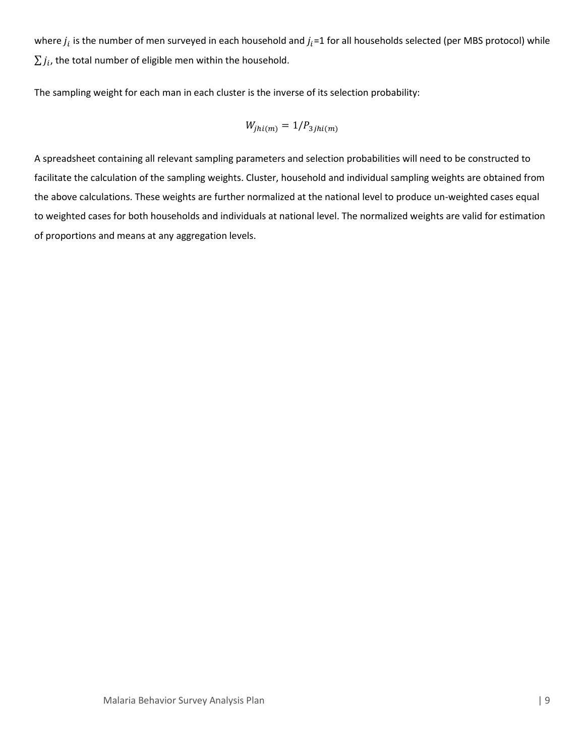where  $j_i$  is the number of men surveyed in each household and  $j_i$ =1 for all households selected (per MBS protocol) while  $\sum j_i$ , the total number of eligible men within the household.

The sampling weight for each man in each cluster is the inverse of its selection probability:

$$
W_{jhi(m)}=1/P_{3jhi(m)}\,
$$

A spreadsheet containing all relevant sampling parameters and selection probabilities will need to be constructed to facilitate the calculation of the sampling weights. Cluster, household and individual sampling weights are obtained from the above calculations. These weights are further normalized at the national level to produce un-weighted cases equal to weighted cases for both households and individuals at national level. The normalized weights are valid for estimation of proportions and means at any aggregation levels.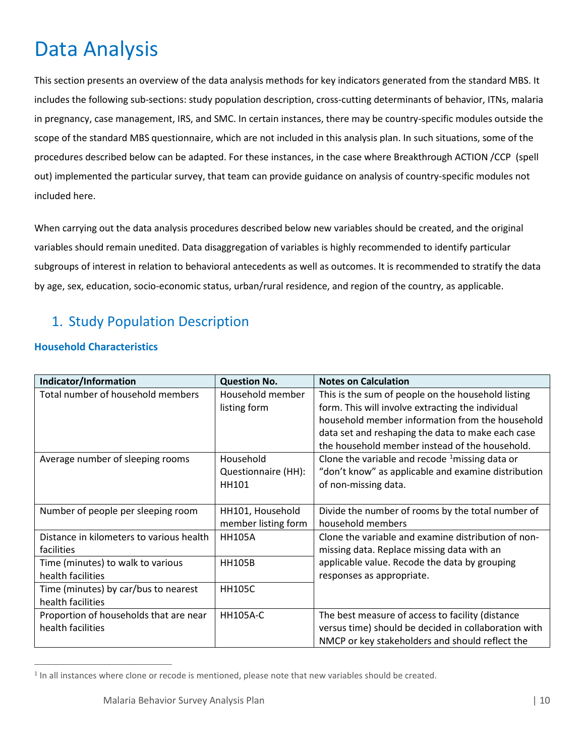# <span id="page-9-0"></span>Data Analysis

This section presents an overview of the data analysis methods for key indicators generated from the standard MBS. It includes the following sub-sections: study population description, cross-cutting determinants of behavior, ITNs, malaria in pregnancy, case management, IRS, and SMC. In certain instances, there may be country-specific modules outside the scope of the standard MBS questionnaire, which are not included in this analysis plan. In such situations, some of the procedures described below can be adapted. For these instances, in the case where Breakthrough ACTION /CCP (spell out) implemented the particular survey, that team can provide guidance on analysis of country-specific modules not included here.

When carrying out the data analysis procedures described below new variables should be created, and the original variables should remain unedited. Data disaggregation of variables is highly recommended to identify particular subgroups of interest in relation to behavioral antecedents as well as outcomes. It is recommended to stratify the data by age, sex, education, socio-economic status, urban/rural residence, and region of the country, as applicable.

# <span id="page-9-1"></span>1. Study Population Description

### **Household Characteristics**

| Indicator/Information                    | <b>Question No.</b> | <b>Notes on Calculation</b>                                 |
|------------------------------------------|---------------------|-------------------------------------------------------------|
| Total number of household members        | Household member    | This is the sum of people on the household listing          |
|                                          | listing form        | form. This will involve extracting the individual           |
|                                          |                     | household member information from the household             |
|                                          |                     | data set and reshaping the data to make each case           |
|                                          |                     | the household member instead of the household.              |
| Average number of sleeping rooms         | Household           | Clone the variable and recode $\frac{1}{2}$ missing data or |
|                                          | Questionnaire (HH): | "don't know" as applicable and examine distribution         |
|                                          | HH101               | of non-missing data.                                        |
|                                          |                     |                                                             |
| Number of people per sleeping room       | HH101, Household    | Divide the number of rooms by the total number of           |
|                                          | member listing form | household members                                           |
| Distance in kilometers to various health | <b>HH105A</b>       | Clone the variable and examine distribution of non-         |
| facilities                               |                     | missing data. Replace missing data with an                  |
| Time (minutes) to walk to various        | <b>HH105B</b>       | applicable value. Recode the data by grouping               |
| health facilities                        |                     | responses as appropriate.                                   |
| Time (minutes) by car/bus to nearest     | <b>HH105C</b>       |                                                             |
| health facilities                        |                     |                                                             |
| Proportion of households that are near   | <b>HH105A-C</b>     | The best measure of access to facility (distance            |
| health facilities                        |                     | versus time) should be decided in collaboration with        |
|                                          |                     | NMCP or key stakeholders and should reflect the             |

<span id="page-9-2"></span><sup>&</sup>lt;sup>1</sup> In all instances where clone or recode is mentioned, please note that new variables should be created.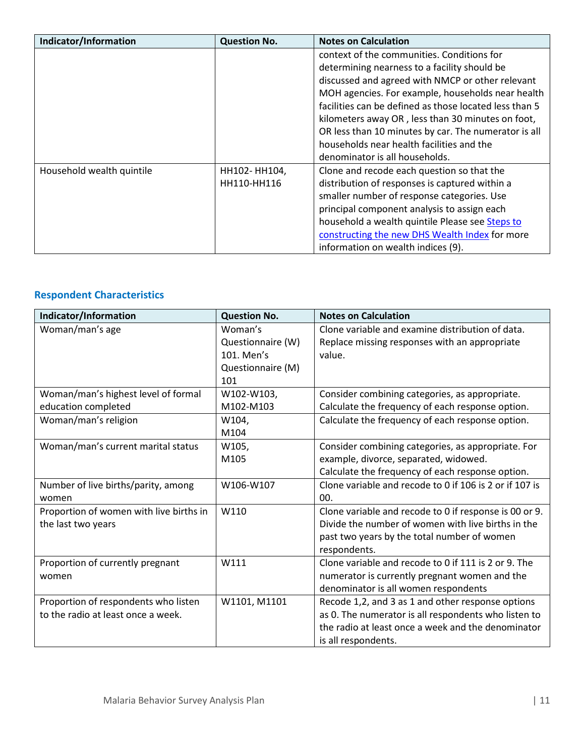| Indicator/Information     | <b>Question No.</b> | <b>Notes on Calculation</b>                            |
|---------------------------|---------------------|--------------------------------------------------------|
|                           |                     | context of the communities. Conditions for             |
|                           |                     | determining nearness to a facility should be           |
|                           |                     | discussed and agreed with NMCP or other relevant       |
|                           |                     | MOH agencies. For example, households near health      |
|                           |                     | facilities can be defined as those located less than 5 |
|                           |                     | kilometers away OR, less than 30 minutes on foot,      |
|                           |                     | OR less than 10 minutes by car. The numerator is all   |
|                           |                     | households near health facilities and the              |
|                           |                     | denominator is all households.                         |
| Household wealth quintile | HH102-HH104,        | Clone and recode each question so that the             |
|                           | HH110-HH116         | distribution of responses is captured within a         |
|                           |                     | smaller number of response categories. Use             |
|                           |                     | principal component analysis to assign each            |
|                           |                     | household a wealth quintile Please see Steps to        |
|                           |                     | constructing the new DHS Wealth Index for more         |
|                           |                     | information on wealth indices (9).                     |

# **Respondent Characteristics**

| Indicator/Information                   | <b>Question No.</b> | <b>Notes on Calculation</b>                             |
|-----------------------------------------|---------------------|---------------------------------------------------------|
| Woman/man's age                         | Woman's             | Clone variable and examine distribution of data.        |
|                                         | Questionnaire (W)   | Replace missing responses with an appropriate           |
|                                         | 101. Men's          | value.                                                  |
|                                         | Questionnaire (M)   |                                                         |
|                                         | 101                 |                                                         |
| Woman/man's highest level of formal     | W102-W103,          | Consider combining categories, as appropriate.          |
| education completed                     | M102-M103           | Calculate the frequency of each response option.        |
| Woman/man's religion                    | W104,               | Calculate the frequency of each response option.        |
|                                         | M104                |                                                         |
| Woman/man's current marital status      | W105,               | Consider combining categories, as appropriate. For      |
|                                         | M105                | example, divorce, separated, widowed.                   |
|                                         |                     | Calculate the frequency of each response option.        |
| Number of live births/parity, among     | W106-W107           | Clone variable and recode to 0 if 106 is 2 or if 107 is |
| women                                   |                     | 00.                                                     |
| Proportion of women with live births in | W110                | Clone variable and recode to 0 if response is 00 or 9.  |
| the last two years                      |                     | Divide the number of women with live births in the      |
|                                         |                     | past two years by the total number of women             |
|                                         |                     | respondents.                                            |
| Proportion of currently pregnant        | W111                | Clone variable and recode to 0 if 111 is 2 or 9. The    |
| women                                   |                     | numerator is currently pregnant women and the           |
|                                         |                     | denominator is all women respondents                    |
| Proportion of respondents who listen    | W1101, M1101        | Recode 1,2, and 3 as 1 and other response options       |
| to the radio at least once a week.      |                     | as 0. The numerator is all respondents who listen to    |
|                                         |                     | the radio at least once a week and the denominator      |
|                                         |                     | is all respondents.                                     |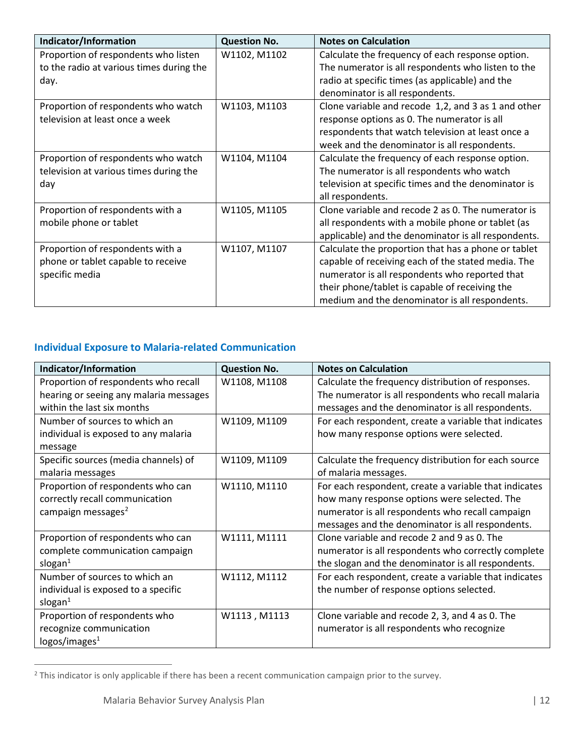| Indicator/Information                    | <b>Question No.</b> | <b>Notes on Calculation</b>                         |
|------------------------------------------|---------------------|-----------------------------------------------------|
| Proportion of respondents who listen     | W1102, M1102        | Calculate the frequency of each response option.    |
| to the radio at various times during the |                     | The numerator is all respondents who listen to the  |
| day.                                     |                     | radio at specific times (as applicable) and the     |
|                                          |                     | denominator is all respondents.                     |
| Proportion of respondents who watch      | W1103, M1103        | Clone variable and recode 1,2, and 3 as 1 and other |
| television at least once a week          |                     | response options as 0. The numerator is all         |
|                                          |                     | respondents that watch television at least once a   |
|                                          |                     | week and the denominator is all respondents.        |
| Proportion of respondents who watch      | W1104, M1104        | Calculate the frequency of each response option.    |
| television at various times during the   |                     | The numerator is all respondents who watch          |
| day                                      |                     | television at specific times and the denominator is |
|                                          |                     | all respondents.                                    |
| Proportion of respondents with a         | W1105, M1105        | Clone variable and recode 2 as 0. The numerator is  |
| mobile phone or tablet                   |                     | all respondents with a mobile phone or tablet (as   |
|                                          |                     | applicable) and the denominator is all respondents. |
| Proportion of respondents with a         | W1107, M1107        | Calculate the proportion that has a phone or tablet |
| phone or tablet capable to receive       |                     | capable of receiving each of the stated media. The  |
| specific media                           |                     | numerator is all respondents who reported that      |
|                                          |                     | their phone/tablet is capable of receiving the      |
|                                          |                     | medium and the denominator is all respondents.      |

### **Individual Exposure to Malaria-related Communication**

| Indicator/Information                  | <b>Question No.</b> | <b>Notes on Calculation</b>                           |
|----------------------------------------|---------------------|-------------------------------------------------------|
| Proportion of respondents who recall   | W1108, M1108        | Calculate the frequency distribution of responses.    |
| hearing or seeing any malaria messages |                     | The numerator is all respondents who recall malaria   |
| within the last six months             |                     | messages and the denominator is all respondents.      |
| Number of sources to which an          | W1109, M1109        | For each respondent, create a variable that indicates |
| individual is exposed to any malaria   |                     | how many response options were selected.              |
| message                                |                     |                                                       |
| Specific sources (media channels) of   | W1109, M1109        | Calculate the frequency distribution for each source  |
| malaria messages                       |                     | of malaria messages.                                  |
| Proportion of respondents who can      | W1110, M1110        | For each respondent, create a variable that indicates |
| correctly recall communication         |                     | how many response options were selected. The          |
| campaign messages <sup>2</sup>         |                     | numerator is all respondents who recall campaign      |
|                                        |                     | messages and the denominator is all respondents.      |
| Proportion of respondents who can      | W1111, M1111        | Clone variable and recode 2 and 9 as 0. The           |
| complete communication campaign        |                     | numerator is all respondents who correctly complete   |
| slogan $1$                             |                     | the slogan and the denominator is all respondents.    |
| Number of sources to which an          | W1112, M1112        | For each respondent, create a variable that indicates |
| individual is exposed to a specific    |                     | the number of response options selected.              |
| slogan $1$                             |                     |                                                       |
| Proportion of respondents who          | W1113, M1113        | Clone variable and recode 2, 3, and 4 as 0. The       |
| recognize communication                |                     | numerator is all respondents who recognize            |
| logos/images <sup>1</sup>              |                     |                                                       |

<span id="page-11-0"></span><sup>&</sup>lt;sup>2</sup> This indicator is only applicable if there has been a recent communication campaign prior to the survey.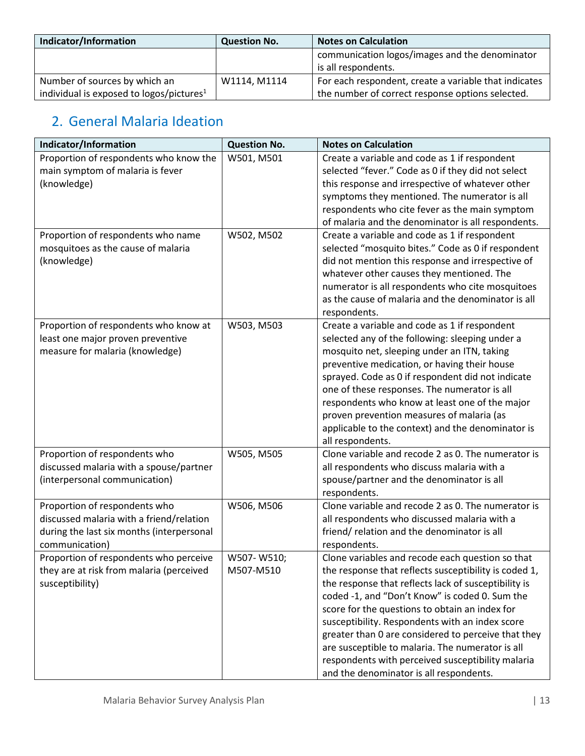| Indicator/Information                                | <b>Question No.</b> | <b>Notes on Calculation</b>                           |
|------------------------------------------------------|---------------------|-------------------------------------------------------|
|                                                      |                     | communication logos/images and the denominator        |
|                                                      |                     | is all respondents.                                   |
| Number of sources by which an                        | W1114. M1114        | For each respondent, create a variable that indicates |
| individual is exposed to logos/pictures <sup>1</sup> |                     | the number of correct response options selected.      |

# <span id="page-12-0"></span>2. General Malaria Ideation

| Indicator/Information                     | <b>Question No.</b> | <b>Notes on Calculation</b>                           |
|-------------------------------------------|---------------------|-------------------------------------------------------|
| Proportion of respondents who know the    | W501, M501          | Create a variable and code as 1 if respondent         |
| main symptom of malaria is fever          |                     | selected "fever." Code as 0 if they did not select    |
| (knowledge)                               |                     | this response and irrespective of whatever other      |
|                                           |                     | symptoms they mentioned. The numerator is all         |
|                                           |                     | respondents who cite fever as the main symptom        |
|                                           |                     | of malaria and the denominator is all respondents.    |
| Proportion of respondents who name        | W502, M502          | Create a variable and code as 1 if respondent         |
| mosquitoes as the cause of malaria        |                     | selected "mosquito bites." Code as 0 if respondent    |
| (knowledge)                               |                     | did not mention this response and irrespective of     |
|                                           |                     | whatever other causes they mentioned. The             |
|                                           |                     | numerator is all respondents who cite mosquitoes      |
|                                           |                     | as the cause of malaria and the denominator is all    |
|                                           |                     | respondents.                                          |
| Proportion of respondents who know at     | W503, M503          | Create a variable and code as 1 if respondent         |
| least one major proven preventive         |                     | selected any of the following: sleeping under a       |
| measure for malaria (knowledge)           |                     | mosquito net, sleeping under an ITN, taking           |
|                                           |                     | preventive medication, or having their house          |
|                                           |                     | sprayed. Code as 0 if respondent did not indicate     |
|                                           |                     | one of these responses. The numerator is all          |
|                                           |                     | respondents who know at least one of the major        |
|                                           |                     | proven prevention measures of malaria (as             |
|                                           |                     | applicable to the context) and the denominator is     |
|                                           |                     | all respondents.                                      |
| Proportion of respondents who             | W505, M505          | Clone variable and recode 2 as 0. The numerator is    |
| discussed malaria with a spouse/partner   |                     | all respondents who discuss malaria with a            |
| (interpersonal communication)             |                     | spouse/partner and the denominator is all             |
|                                           |                     | respondents.                                          |
| Proportion of respondents who             | W506, M506          | Clone variable and recode 2 as 0. The numerator is    |
| discussed malaria with a friend/relation  |                     | all respondents who discussed malaria with a          |
| during the last six months (interpersonal |                     | friend/relation and the denominator is all            |
| communication)                            |                     | respondents.                                          |
| Proportion of respondents who perceive    | W507-W510;          | Clone variables and recode each question so that      |
| they are at risk from malaria (perceived  | M507-M510           | the response that reflects susceptibility is coded 1, |
| susceptibility)                           |                     | the response that reflects lack of susceptibility is  |
|                                           |                     | coded -1, and "Don't Know" is coded 0. Sum the        |
|                                           |                     | score for the questions to obtain an index for        |
|                                           |                     | susceptibility. Respondents with an index score       |
|                                           |                     | greater than 0 are considered to perceive that they   |
|                                           |                     | are susceptible to malaria. The numerator is all      |
|                                           |                     | respondents with perceived susceptibility malaria     |
|                                           |                     | and the denominator is all respondents.               |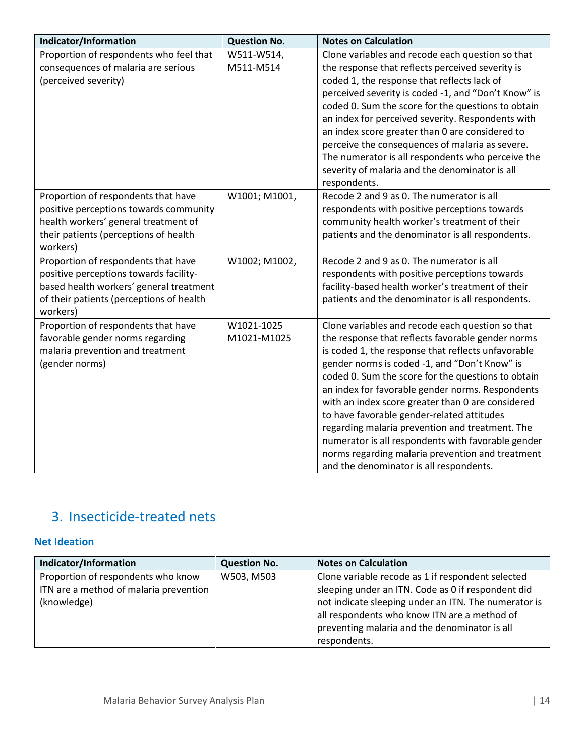| Indicator/Information                    | <b>Question No.</b> | <b>Notes on Calculation</b>                         |
|------------------------------------------|---------------------|-----------------------------------------------------|
| Proportion of respondents who feel that  | W511-W514,          | Clone variables and recode each question so that    |
| consequences of malaria are serious      | M511-M514           | the response that reflects perceived severity is    |
| (perceived severity)                     |                     | coded 1, the response that reflects lack of         |
|                                          |                     | perceived severity is coded -1, and "Don't Know" is |
|                                          |                     | coded 0. Sum the score for the questions to obtain  |
|                                          |                     | an index for perceived severity. Respondents with   |
|                                          |                     | an index score greater than 0 are considered to     |
|                                          |                     | perceive the consequences of malaria as severe.     |
|                                          |                     | The numerator is all respondents who perceive the   |
|                                          |                     | severity of malaria and the denominator is all      |
|                                          |                     | respondents.                                        |
| Proportion of respondents that have      | W1001; M1001,       | Recode 2 and 9 as 0. The numerator is all           |
| positive perceptions towards community   |                     | respondents with positive perceptions towards       |
| health workers' general treatment of     |                     | community health worker's treatment of their        |
| their patients (perceptions of health    |                     | patients and the denominator is all respondents.    |
| workers)                                 |                     |                                                     |
| Proportion of respondents that have      | W1002; M1002,       | Recode 2 and 9 as 0. The numerator is all           |
| positive perceptions towards facility-   |                     | respondents with positive perceptions towards       |
| based health workers' general treatment  |                     | facility-based health worker's treatment of their   |
| of their patients (perceptions of health |                     | patients and the denominator is all respondents.    |
| workers)                                 |                     |                                                     |
| Proportion of respondents that have      | W1021-1025          | Clone variables and recode each question so that    |
| favorable gender norms regarding         | M1021-M1025         | the response that reflects favorable gender norms   |
| malaria prevention and treatment         |                     | is coded 1, the response that reflects unfavorable  |
| (gender norms)                           |                     | gender norms is coded -1, and "Don't Know" is       |
|                                          |                     | coded 0. Sum the score for the questions to obtain  |
|                                          |                     | an index for favorable gender norms. Respondents    |
|                                          |                     | with an index score greater than 0 are considered   |
|                                          |                     | to have favorable gender-related attitudes          |
|                                          |                     | regarding malaria prevention and treatment. The     |
|                                          |                     | numerator is all respondents with favorable gender  |
|                                          |                     | norms regarding malaria prevention and treatment    |
|                                          |                     | and the denominator is all respondents.             |

# <span id="page-13-0"></span>3. Insecticide-treated nets

### **Net Ideation**

| Indicator/Information                  | <b>Question No.</b> | <b>Notes on Calculation</b>                          |
|----------------------------------------|---------------------|------------------------------------------------------|
| Proportion of respondents who know     | W503, M503          | Clone variable recode as 1 if respondent selected    |
| ITN are a method of malaria prevention |                     | sleeping under an ITN. Code as 0 if respondent did   |
| (knowledge)                            |                     | not indicate sleeping under an ITN. The numerator is |
|                                        |                     | all respondents who know ITN are a method of         |
|                                        |                     | preventing malaria and the denominator is all        |
|                                        |                     | respondents.                                         |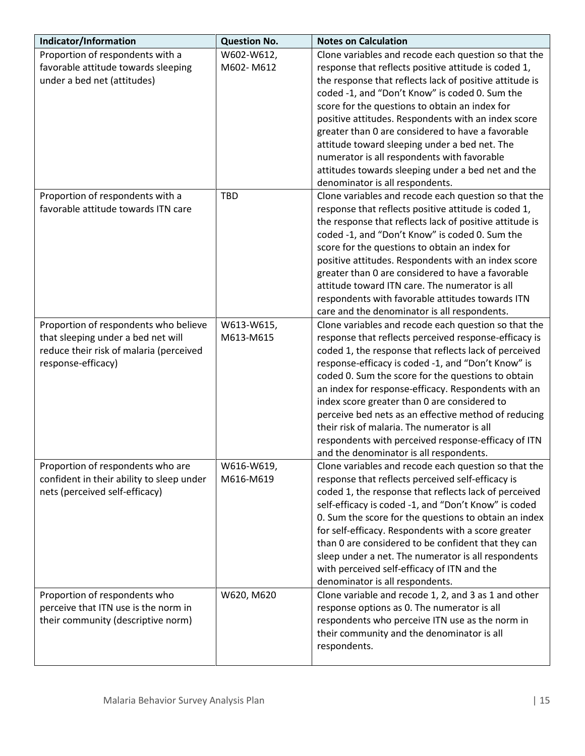| Indicator/Information                     | <b>Question No.</b> | <b>Notes on Calculation</b>                             |
|-------------------------------------------|---------------------|---------------------------------------------------------|
| Proportion of respondents with a          | W602-W612,          | Clone variables and recode each question so that the    |
| favorable attitude towards sleeping       | M602-M612           | response that reflects positive attitude is coded 1,    |
| under a bed net (attitudes)               |                     | the response that reflects lack of positive attitude is |
|                                           |                     | coded -1, and "Don't Know" is coded 0. Sum the          |
|                                           |                     | score for the questions to obtain an index for          |
|                                           |                     | positive attitudes. Respondents with an index score     |
|                                           |                     | greater than 0 are considered to have a favorable       |
|                                           |                     | attitude toward sleeping under a bed net. The           |
|                                           |                     | numerator is all respondents with favorable             |
|                                           |                     | attitudes towards sleeping under a bed net and the      |
|                                           |                     | denominator is all respondents.                         |
| Proportion of respondents with a          | <b>TBD</b>          | Clone variables and recode each question so that the    |
| favorable attitude towards ITN care       |                     | response that reflects positive attitude is coded 1,    |
|                                           |                     | the response that reflects lack of positive attitude is |
|                                           |                     | coded -1, and "Don't Know" is coded 0. Sum the          |
|                                           |                     | score for the questions to obtain an index for          |
|                                           |                     | positive attitudes. Respondents with an index score     |
|                                           |                     | greater than 0 are considered to have a favorable       |
|                                           |                     | attitude toward ITN care. The numerator is all          |
|                                           |                     | respondents with favorable attitudes towards ITN        |
|                                           |                     | care and the denominator is all respondents.            |
| Proportion of respondents who believe     | W613-W615,          | Clone variables and recode each question so that the    |
| that sleeping under a bed net will        | M613-M615           | response that reflects perceived response-efficacy is   |
| reduce their risk of malaria (perceived   |                     | coded 1, the response that reflects lack of perceived   |
| response-efficacy)                        |                     | response-efficacy is coded -1, and "Don't Know" is      |
|                                           |                     | coded 0. Sum the score for the questions to obtain      |
|                                           |                     | an index for response-efficacy. Respondents with an     |
|                                           |                     | index score greater than 0 are considered to            |
|                                           |                     | perceive bed nets as an effective method of reducing    |
|                                           |                     | their risk of malaria. The numerator is all             |
|                                           |                     | respondents with perceived response-efficacy of ITN     |
|                                           |                     | and the denominator is all respondents.                 |
| Proportion of respondents who are         | W616-W619,          | Clone variables and recode each question so that the    |
| confident in their ability to sleep under | M616-M619           | response that reflects perceived self-efficacy is       |
| nets (perceived self-efficacy)            |                     | coded 1, the response that reflects lack of perceived   |
|                                           |                     | self-efficacy is coded -1, and "Don't Know" is coded    |
|                                           |                     | 0. Sum the score for the questions to obtain an index   |
|                                           |                     | for self-efficacy. Respondents with a score greater     |
|                                           |                     | than 0 are considered to be confident that they can     |
|                                           |                     | sleep under a net. The numerator is all respondents     |
|                                           |                     | with perceived self-efficacy of ITN and the             |
|                                           |                     | denominator is all respondents.                         |
| Proportion of respondents who             | W620, M620          | Clone variable and recode 1, 2, and 3 as 1 and other    |
| perceive that ITN use is the norm in      |                     | response options as 0. The numerator is all             |
| their community (descriptive norm)        |                     | respondents who perceive ITN use as the norm in         |
|                                           |                     | their community and the denominator is all              |
|                                           |                     | respondents.                                            |
|                                           |                     |                                                         |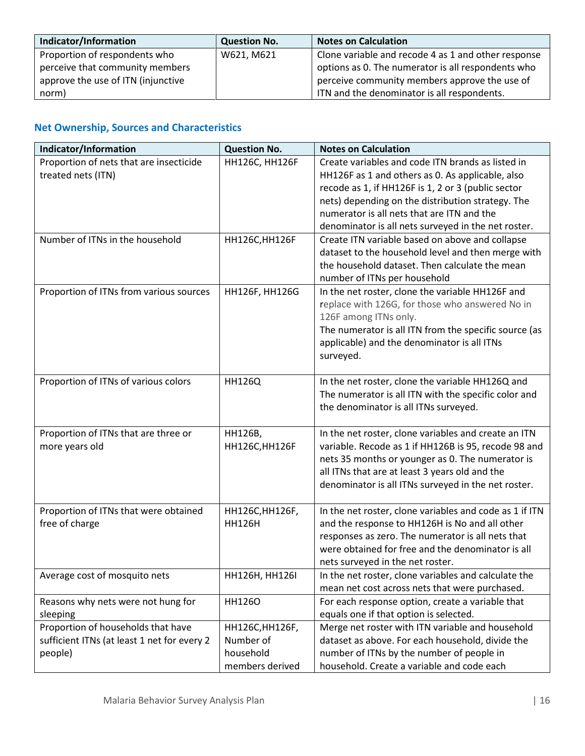| Indicator/Information              | <b>Question No.</b> | <b>Notes on Calculation</b>                         |
|------------------------------------|---------------------|-----------------------------------------------------|
| Proportion of respondents who      | W621, M621          | Clone variable and recode 4 as 1 and other response |
| perceive that community members    |                     | options as 0. The numerator is all respondents who  |
| approve the use of ITN (injunctive |                     | perceive community members approve the use of       |
| norm)                              |                     | ITN and the denominator is all respondents.         |

# **Net Ownership, Sources and Characteristics**

| Proportion of nets that are insecticide<br>HH126C, HH126F<br>Create variables and code ITN brands as listed in<br>treated nets (ITN)<br>HH126F as 1 and others as 0. As applicable, also<br>recode as 1, if HH126F is 1, 2 or 3 (public sector<br>nets) depending on the distribution strategy. The<br>numerator is all nets that are ITN and the<br>denominator is all nets surveyed in the net roster.<br>Number of ITNs in the household<br>HH126C, HH126F<br>Create ITN variable based on above and collapse<br>dataset to the household level and then merge with<br>the household dataset. Then calculate the mean |
|--------------------------------------------------------------------------------------------------------------------------------------------------------------------------------------------------------------------------------------------------------------------------------------------------------------------------------------------------------------------------------------------------------------------------------------------------------------------------------------------------------------------------------------------------------------------------------------------------------------------------|
|                                                                                                                                                                                                                                                                                                                                                                                                                                                                                                                                                                                                                          |
|                                                                                                                                                                                                                                                                                                                                                                                                                                                                                                                                                                                                                          |
|                                                                                                                                                                                                                                                                                                                                                                                                                                                                                                                                                                                                                          |
|                                                                                                                                                                                                                                                                                                                                                                                                                                                                                                                                                                                                                          |
|                                                                                                                                                                                                                                                                                                                                                                                                                                                                                                                                                                                                                          |
|                                                                                                                                                                                                                                                                                                                                                                                                                                                                                                                                                                                                                          |
|                                                                                                                                                                                                                                                                                                                                                                                                                                                                                                                                                                                                                          |
|                                                                                                                                                                                                                                                                                                                                                                                                                                                                                                                                                                                                                          |
|                                                                                                                                                                                                                                                                                                                                                                                                                                                                                                                                                                                                                          |
| number of ITNs per household                                                                                                                                                                                                                                                                                                                                                                                                                                                                                                                                                                                             |
| Proportion of ITNs from various sources<br>HH126F, HH126G<br>In the net roster, clone the variable HH126F and                                                                                                                                                                                                                                                                                                                                                                                                                                                                                                            |
| replace with 126G, for those who answered No in                                                                                                                                                                                                                                                                                                                                                                                                                                                                                                                                                                          |
| 126F among ITNs only.                                                                                                                                                                                                                                                                                                                                                                                                                                                                                                                                                                                                    |
| The numerator is all ITN from the specific source (as                                                                                                                                                                                                                                                                                                                                                                                                                                                                                                                                                                    |
| applicable) and the denominator is all ITNs                                                                                                                                                                                                                                                                                                                                                                                                                                                                                                                                                                              |
| surveyed.                                                                                                                                                                                                                                                                                                                                                                                                                                                                                                                                                                                                                |
| In the net roster, clone the variable HH126Q and<br>Proportion of ITNs of various colors<br><b>HH126Q</b>                                                                                                                                                                                                                                                                                                                                                                                                                                                                                                                |
| The numerator is all ITN with the specific color and                                                                                                                                                                                                                                                                                                                                                                                                                                                                                                                                                                     |
| the denominator is all ITNs surveyed.                                                                                                                                                                                                                                                                                                                                                                                                                                                                                                                                                                                    |
|                                                                                                                                                                                                                                                                                                                                                                                                                                                                                                                                                                                                                          |
| Proportion of ITNs that are three or<br>HH126B,<br>In the net roster, clone variables and create an ITN                                                                                                                                                                                                                                                                                                                                                                                                                                                                                                                  |
| variable. Recode as 1 if HH126B is 95, recode 98 and<br>more years old<br>HH126C, HH126F                                                                                                                                                                                                                                                                                                                                                                                                                                                                                                                                 |
| nets 35 months or younger as 0. The numerator is                                                                                                                                                                                                                                                                                                                                                                                                                                                                                                                                                                         |
| all ITNs that are at least 3 years old and the                                                                                                                                                                                                                                                                                                                                                                                                                                                                                                                                                                           |
| denominator is all ITNs surveyed in the net roster.                                                                                                                                                                                                                                                                                                                                                                                                                                                                                                                                                                      |
|                                                                                                                                                                                                                                                                                                                                                                                                                                                                                                                                                                                                                          |
| Proportion of ITNs that were obtained<br>In the net roster, clone variables and code as 1 if ITN<br>HH126C, HH126F,                                                                                                                                                                                                                                                                                                                                                                                                                                                                                                      |
| free of charge<br><b>HH126H</b><br>and the response to HH126H is No and all other                                                                                                                                                                                                                                                                                                                                                                                                                                                                                                                                        |
| responses as zero. The numerator is all nets that                                                                                                                                                                                                                                                                                                                                                                                                                                                                                                                                                                        |
| were obtained for free and the denominator is all                                                                                                                                                                                                                                                                                                                                                                                                                                                                                                                                                                        |
| nets surveyed in the net roster.                                                                                                                                                                                                                                                                                                                                                                                                                                                                                                                                                                                         |
| Average cost of mosquito nets<br>HH126H, HH126I<br>In the net roster, clone variables and calculate the                                                                                                                                                                                                                                                                                                                                                                                                                                                                                                                  |
| mean net cost across nets that were purchased.                                                                                                                                                                                                                                                                                                                                                                                                                                                                                                                                                                           |
| Reasons why nets were not hung for<br>For each response option, create a variable that<br><b>HH1260</b>                                                                                                                                                                                                                                                                                                                                                                                                                                                                                                                  |
| equals one if that option is selected.<br>sleeping                                                                                                                                                                                                                                                                                                                                                                                                                                                                                                                                                                       |
| Proportion of households that have<br>HH126C, HH126F,<br>Merge net roster with ITN variable and household<br>sufficient ITNs (at least 1 net for every 2<br>Number of<br>dataset as above. For each household, divide the                                                                                                                                                                                                                                                                                                                                                                                                |
| household<br>number of ITNs by the number of people in<br>people)                                                                                                                                                                                                                                                                                                                                                                                                                                                                                                                                                        |
| household. Create a variable and code each<br>members derived                                                                                                                                                                                                                                                                                                                                                                                                                                                                                                                                                            |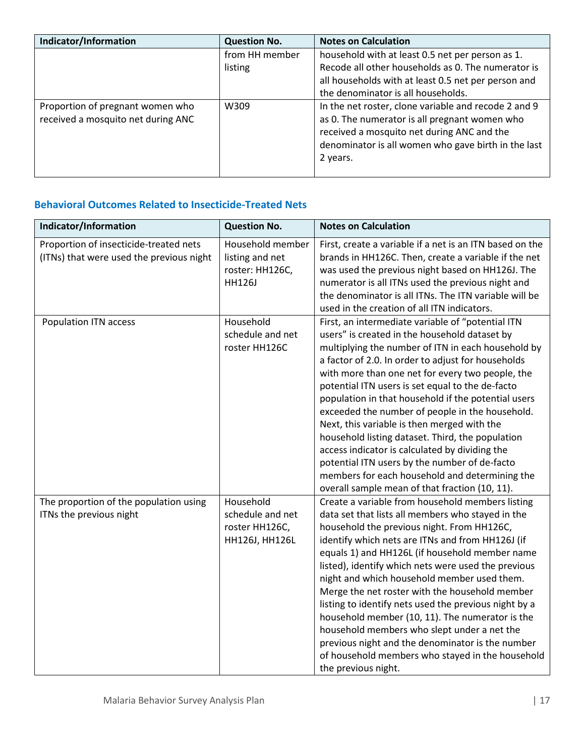| Indicator/Information              | <b>Question No.</b> | <b>Notes on Calculation</b>                          |
|------------------------------------|---------------------|------------------------------------------------------|
|                                    | from HH member      | household with at least 0.5 net per person as 1.     |
|                                    | listing             | Recode all other households as 0. The numerator is   |
|                                    |                     | all households with at least 0.5 net per person and  |
|                                    |                     | the denominator is all households.                   |
| Proportion of pregnant women who   | W309                | In the net roster, clone variable and recode 2 and 9 |
| received a mosquito net during ANC |                     | as 0. The numerator is all pregnant women who        |
|                                    |                     | received a mosquito net during ANC and the           |
|                                    |                     | denominator is all women who gave birth in the last  |
|                                    |                     | 2 years.                                             |
|                                    |                     |                                                      |

### **Behavioral Outcomes Related to Insecticide-Treated Nets**

| Indicator/Information                                                              | <b>Question No.</b>                                               | <b>Notes on Calculation</b>                                                                                                                                                                                                                                                                                                                                                                                                                                                                                                                                                                                                                                                                                                                |
|------------------------------------------------------------------------------------|-------------------------------------------------------------------|--------------------------------------------------------------------------------------------------------------------------------------------------------------------------------------------------------------------------------------------------------------------------------------------------------------------------------------------------------------------------------------------------------------------------------------------------------------------------------------------------------------------------------------------------------------------------------------------------------------------------------------------------------------------------------------------------------------------------------------------|
| Proportion of insecticide-treated nets<br>(ITNs) that were used the previous night | Household member<br>listing and net<br>roster: HH126C,<br>HH126J  | First, create a variable if a net is an ITN based on the<br>brands in HH126C. Then, create a variable if the net<br>was used the previous night based on HH126J. The<br>numerator is all ITNs used the previous night and<br>the denominator is all ITNs. The ITN variable will be<br>used in the creation of all ITN indicators.                                                                                                                                                                                                                                                                                                                                                                                                          |
| Population ITN access                                                              | Household<br>schedule and net<br>roster HH126C                    | First, an intermediate variable of "potential ITN<br>users" is created in the household dataset by<br>multiplying the number of ITN in each household by<br>a factor of 2.0. In order to adjust for households<br>with more than one net for every two people, the<br>potential ITN users is set equal to the de-facto<br>population in that household if the potential users<br>exceeded the number of people in the household.<br>Next, this variable is then merged with the<br>household listing dataset. Third, the population<br>access indicator is calculated by dividing the<br>potential ITN users by the number of de-facto<br>members for each household and determining the<br>overall sample mean of that fraction (10, 11). |
| The proportion of the population using<br>ITNs the previous night                  | Household<br>schedule and net<br>roster HH126C,<br>HH126J, HH126L | Create a variable from household members listing<br>data set that lists all members who stayed in the<br>household the previous night. From HH126C,<br>identify which nets are ITNs and from HH126J (if<br>equals 1) and HH126L (if household member name<br>listed), identify which nets were used the previous<br>night and which household member used them.<br>Merge the net roster with the household member<br>listing to identify nets used the previous night by a<br>household member (10, 11). The numerator is the<br>household members who slept under a net the<br>previous night and the denominator is the number<br>of household members who stayed in the household<br>the previous night.                                |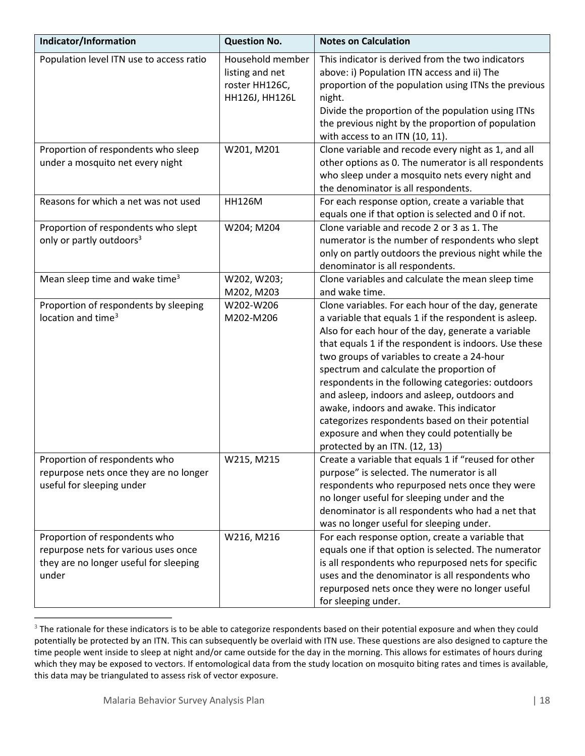| Indicator/Information                                                                                                    | <b>Question No.</b>                                                     | <b>Notes on Calculation</b>                                                                                                                                                                                                                                                                                                                                                                                                                                                                                                                                                                                 |
|--------------------------------------------------------------------------------------------------------------------------|-------------------------------------------------------------------------|-------------------------------------------------------------------------------------------------------------------------------------------------------------------------------------------------------------------------------------------------------------------------------------------------------------------------------------------------------------------------------------------------------------------------------------------------------------------------------------------------------------------------------------------------------------------------------------------------------------|
| Population level ITN use to access ratio                                                                                 | Household member<br>listing and net<br>roster HH126C,<br>HH126J, HH126L | This indicator is derived from the two indicators<br>above: i) Population ITN access and ii) The<br>proportion of the population using ITNs the previous<br>night.<br>Divide the proportion of the population using ITNs<br>the previous night by the proportion of population<br>with access to an ITN (10, 11).                                                                                                                                                                                                                                                                                           |
| Proportion of respondents who sleep<br>under a mosquito net every night                                                  | W201, M201                                                              | Clone variable and recode every night as 1, and all<br>other options as 0. The numerator is all respondents<br>who sleep under a mosquito nets every night and<br>the denominator is all respondents.                                                                                                                                                                                                                                                                                                                                                                                                       |
| Reasons for which a net was not used                                                                                     | <b>HH126M</b>                                                           | For each response option, create a variable that<br>equals one if that option is selected and 0 if not.                                                                                                                                                                                                                                                                                                                                                                                                                                                                                                     |
| Proportion of respondents who slept<br>only or partly outdoors <sup>3</sup>                                              | W204; M204                                                              | Clone variable and recode 2 or 3 as 1. The<br>numerator is the number of respondents who slept<br>only on partly outdoors the previous night while the<br>denominator is all respondents.                                                                                                                                                                                                                                                                                                                                                                                                                   |
| Mean sleep time and wake time <sup>3</sup>                                                                               | W202, W203;<br>M202, M203                                               | Clone variables and calculate the mean sleep time<br>and wake time.                                                                                                                                                                                                                                                                                                                                                                                                                                                                                                                                         |
| Proportion of respondents by sleeping<br>location and time <sup>3</sup>                                                  | W202-W206<br>M202-M206                                                  | Clone variables. For each hour of the day, generate<br>a variable that equals 1 if the respondent is asleep.<br>Also for each hour of the day, generate a variable<br>that equals 1 if the respondent is indoors. Use these<br>two groups of variables to create a 24-hour<br>spectrum and calculate the proportion of<br>respondents in the following categories: outdoors<br>and asleep, indoors and asleep, outdoors and<br>awake, indoors and awake. This indicator<br>categorizes respondents based on their potential<br>exposure and when they could potentially be<br>protected by an ITN. (12, 13) |
| Proportion of respondents who<br>repurpose nets once they are no longer<br>useful for sleeping under                     | W215, M215                                                              | Create a variable that equals 1 if "reused for other<br>purpose" is selected. The numerator is all<br>respondents who repurposed nets once they were<br>no longer useful for sleeping under and the<br>denominator is all respondents who had a net that<br>was no longer useful for sleeping under.                                                                                                                                                                                                                                                                                                        |
| Proportion of respondents who<br>repurpose nets for various uses once<br>they are no longer useful for sleeping<br>under | W216, M216                                                              | For each response option, create a variable that<br>equals one if that option is selected. The numerator<br>is all respondents who repurposed nets for specific<br>uses and the denominator is all respondents who<br>repurposed nets once they were no longer useful<br>for sleeping under.                                                                                                                                                                                                                                                                                                                |

<span id="page-17-0"></span><sup>&</sup>lt;sup>3</sup> The rationale for these indicators is to be able to categorize respondents based on their potential exposure and when they could potentially be protected by an ITN. This can subsequently be overlaid with ITN use. These questions are also designed to capture the time people went inside to sleep at night and/or came outside for the day in the morning. This allows for estimates of hours during which they may be exposed to vectors. If entomological data from the study location on mosquito biting rates and times is available, this data may be triangulated to assess risk of vector exposure.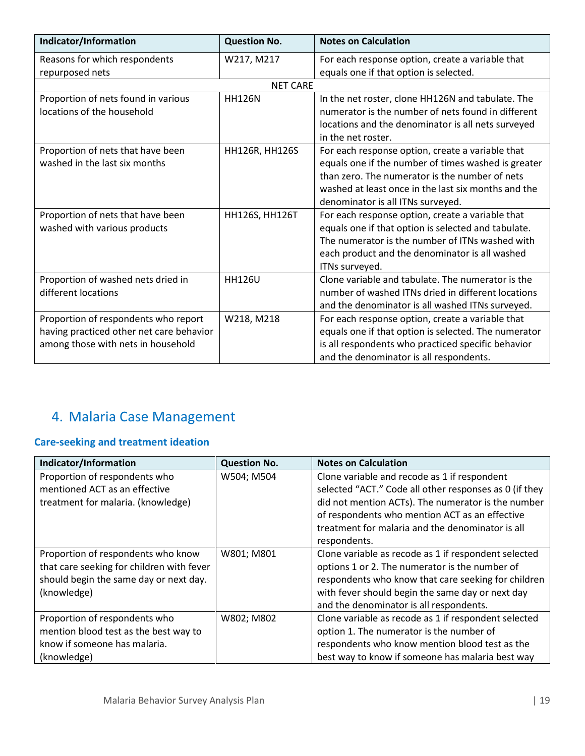| Indicator/Information                    | <b>Question No.</b> | <b>Notes on Calculation</b>                          |
|------------------------------------------|---------------------|------------------------------------------------------|
| Reasons for which respondents            | W217, M217          | For each response option, create a variable that     |
| repurposed nets                          |                     | equals one if that option is selected.               |
|                                          | <b>NET CARE</b>     |                                                      |
| Proportion of nets found in various      | <b>HH126N</b>       | In the net roster, clone HH126N and tabulate. The    |
| locations of the household               |                     | numerator is the number of nets found in different   |
|                                          |                     | locations and the denominator is all nets surveyed   |
|                                          |                     | in the net roster.                                   |
| Proportion of nets that have been        | HH126R, HH126S      | For each response option, create a variable that     |
| washed in the last six months            |                     | equals one if the number of times washed is greater  |
|                                          |                     | than zero. The numerator is the number of nets       |
|                                          |                     | washed at least once in the last six months and the  |
|                                          |                     | denominator is all ITNs surveyed.                    |
| Proportion of nets that have been        | HH126S, HH126T      | For each response option, create a variable that     |
| washed with various products             |                     | equals one if that option is selected and tabulate.  |
|                                          |                     | The numerator is the number of ITNs washed with      |
|                                          |                     | each product and the denominator is all washed       |
|                                          |                     | ITNs surveyed.                                       |
| Proportion of washed nets dried in       | <b>HH126U</b>       | Clone variable and tabulate. The numerator is the    |
| different locations                      |                     | number of washed ITNs dried in different locations   |
|                                          |                     | and the denominator is all washed ITNs surveyed.     |
| Proportion of respondents who report     | W218, M218          | For each response option, create a variable that     |
| having practiced other net care behavior |                     | equals one if that option is selected. The numerator |
| among those with nets in household       |                     | is all respondents who practiced specific behavior   |
|                                          |                     | and the denominator is all respondents.              |

# <span id="page-18-0"></span>4. Malaria Case Management

# **Care-seeking and treatment ideation**

| Indicator/Information                     | <b>Question No.</b> | <b>Notes on Calculation</b>                            |
|-------------------------------------------|---------------------|--------------------------------------------------------|
| Proportion of respondents who             | W504; M504          | Clone variable and recode as 1 if respondent           |
| mentioned ACT as an effective             |                     | selected "ACT." Code all other responses as 0 (if they |
| treatment for malaria. (knowledge)        |                     | did not mention ACTs). The numerator is the number     |
|                                           |                     | of respondents who mention ACT as an effective         |
|                                           |                     | treatment for malaria and the denominator is all       |
|                                           |                     | respondents.                                           |
| Proportion of respondents who know        | W801; M801          | Clone variable as recode as 1 if respondent selected   |
| that care seeking for children with fever |                     | options 1 or 2. The numerator is the number of         |
| should begin the same day or next day.    |                     | respondents who know that care seeking for children    |
| (knowledge)                               |                     | with fever should begin the same day or next day       |
|                                           |                     | and the denominator is all respondents.                |
| Proportion of respondents who             | W802; M802          | Clone variable as recode as 1 if respondent selected   |
| mention blood test as the best way to     |                     | option 1. The numerator is the number of               |
| know if someone has malaria.              |                     | respondents who know mention blood test as the         |
| (knowledge)                               |                     | best way to know if someone has malaria best way       |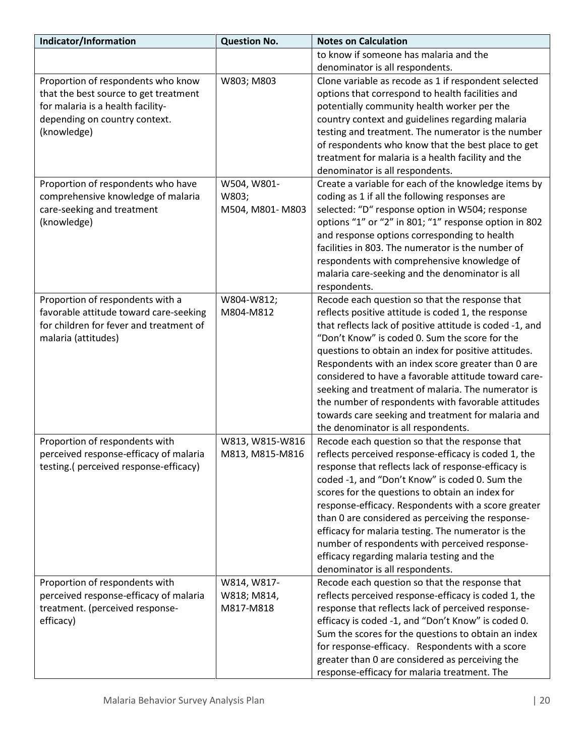| Indicator/Information                                                    | <b>Question No.</b>        | <b>Notes on Calculation</b>                                                       |
|--------------------------------------------------------------------------|----------------------------|-----------------------------------------------------------------------------------|
|                                                                          |                            | to know if someone has malaria and the                                            |
|                                                                          |                            | denominator is all respondents.                                                   |
| Proportion of respondents who know                                       | W803; M803                 | Clone variable as recode as 1 if respondent selected                              |
| that the best source to get treatment                                    |                            | options that correspond to health facilities and                                  |
| for malaria is a health facility-                                        |                            | potentially community health worker per the                                       |
| depending on country context.                                            |                            | country context and guidelines regarding malaria                                  |
| (knowledge)                                                              |                            | testing and treatment. The numerator is the number                                |
|                                                                          |                            | of respondents who know that the best place to get                                |
|                                                                          |                            | treatment for malaria is a health facility and the                                |
|                                                                          |                            | denominator is all respondents.                                                   |
| Proportion of respondents who have                                       | W504, W801-                | Create a variable for each of the knowledge items by                              |
| comprehensive knowledge of malaria                                       | W803;                      | coding as 1 if all the following responses are                                    |
| care-seeking and treatment                                               | M504, M801-M803            | selected: "D" response option in W504; response                                   |
| (knowledge)                                                              |                            | options "1" or "2" in 801; "1" response option in 802                             |
|                                                                          |                            | and response options corresponding to health                                      |
|                                                                          |                            | facilities in 803. The numerator is the number of                                 |
|                                                                          |                            | respondents with comprehensive knowledge of                                       |
|                                                                          |                            | malaria care-seeking and the denominator is all                                   |
|                                                                          |                            | respondents.                                                                      |
| Proportion of respondents with a                                         | W804-W812;                 | Recode each question so that the response that                                    |
| favorable attitude toward care-seeking                                   | M804-M812                  | reflects positive attitude is coded 1, the response                               |
| for children for fever and treatment of                                  |                            | that reflects lack of positive attitude is coded -1, and                          |
| malaria (attitudes)                                                      |                            | "Don't Know" is coded 0. Sum the score for the                                    |
|                                                                          |                            | questions to obtain an index for positive attitudes.                              |
|                                                                          |                            | Respondents with an index score greater than 0 are                                |
|                                                                          |                            | considered to have a favorable attitude toward care-                              |
|                                                                          |                            | seeking and treatment of malaria. The numerator is                                |
|                                                                          |                            | the number of respondents with favorable attitudes                                |
|                                                                          |                            | towards care seeking and treatment for malaria and                                |
|                                                                          |                            | the denominator is all respondents.                                               |
| Proportion of respondents with                                           | W813, W815-W816            | Recode each question so that the response that                                    |
| perceived response-efficacy of malaria                                   | M813, M815-M816            | reflects perceived response-efficacy is coded 1, the                              |
| testing.(perceived response-efficacy)                                    |                            | response that reflects lack of response-efficacy is                               |
|                                                                          |                            | coded -1, and "Don't Know" is coded 0. Sum the                                    |
|                                                                          |                            | scores for the questions to obtain an index for                                   |
|                                                                          |                            | response-efficacy. Respondents with a score greater                               |
|                                                                          |                            | than 0 are considered as perceiving the response-                                 |
|                                                                          |                            | efficacy for malaria testing. The numerator is the                                |
|                                                                          |                            | number of respondents with perceived response-                                    |
|                                                                          |                            | efficacy regarding malaria testing and the                                        |
|                                                                          |                            | denominator is all respondents.<br>Recode each question so that the response that |
| Proportion of respondents with<br>perceived response-efficacy of malaria | W814, W817-<br>W818; M814, | reflects perceived response-efficacy is coded 1, the                              |
| treatment. (perceived response-                                          | M817-M818                  | response that reflects lack of perceived response-                                |
| efficacy)                                                                |                            | efficacy is coded -1, and "Don't Know" is coded 0.                                |
|                                                                          |                            | Sum the scores for the questions to obtain an index                               |
|                                                                          |                            | for response-efficacy. Respondents with a score                                   |
|                                                                          |                            | greater than 0 are considered as perceiving the                                   |
|                                                                          |                            | response-efficacy for malaria treatment. The                                      |
|                                                                          |                            |                                                                                   |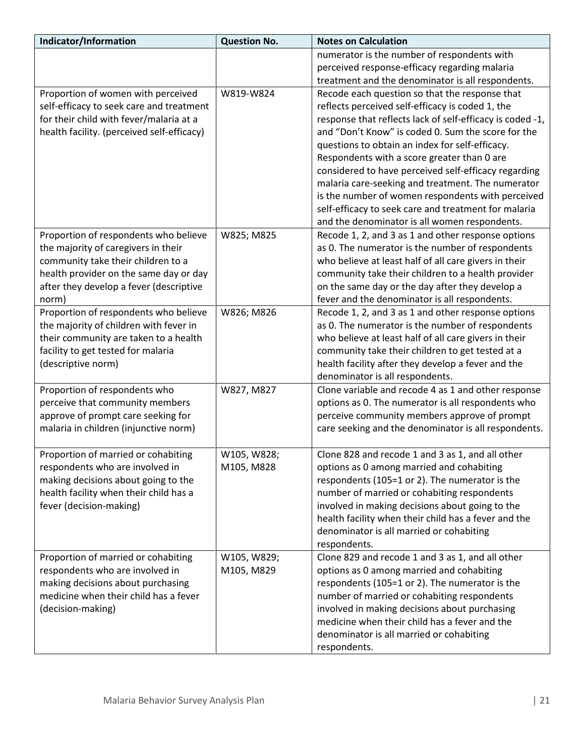| Indicator/Information                      | <b>Question No.</b> | <b>Notes on Calculation</b>                               |
|--------------------------------------------|---------------------|-----------------------------------------------------------|
|                                            |                     | numerator is the number of respondents with               |
|                                            |                     | perceived response-efficacy regarding malaria             |
|                                            |                     | treatment and the denominator is all respondents.         |
| Proportion of women with perceived         | W819-W824           | Recode each question so that the response that            |
| self-efficacy to seek care and treatment   |                     | reflects perceived self-efficacy is coded 1, the          |
| for their child with fever/malaria at a    |                     | response that reflects lack of self-efficacy is coded -1, |
| health facility. (perceived self-efficacy) |                     | and "Don't Know" is coded 0. Sum the score for the        |
|                                            |                     | questions to obtain an index for self-efficacy.           |
|                                            |                     | Respondents with a score greater than 0 are               |
|                                            |                     | considered to have perceived self-efficacy regarding      |
|                                            |                     | malaria care-seeking and treatment. The numerator         |
|                                            |                     | is the number of women respondents with perceived         |
|                                            |                     | self-efficacy to seek care and treatment for malaria      |
|                                            |                     | and the denominator is all women respondents.             |
| Proportion of respondents who believe      | W825; M825          | Recode 1, 2, and 3 as 1 and other response options        |
| the majority of caregivers in their        |                     | as 0. The numerator is the number of respondents          |
| community take their children to a         |                     | who believe at least half of all care givers in their     |
| health provider on the same day or day     |                     | community take their children to a health provider        |
| after they develop a fever (descriptive    |                     | on the same day or the day after they develop a           |
| norm)                                      |                     | fever and the denominator is all respondents.             |
| Proportion of respondents who believe      | W826; M826          | Recode 1, 2, and 3 as 1 and other response options        |
| the majority of children with fever in     |                     | as 0. The numerator is the number of respondents          |
| their community are taken to a health      |                     | who believe at least half of all care givers in their     |
| facility to get tested for malaria         |                     | community take their children to get tested at a          |
| (descriptive norm)                         |                     | health facility after they develop a fever and the        |
|                                            |                     | denominator is all respondents.                           |
| Proportion of respondents who              | W827, M827          | Clone variable and recode 4 as 1 and other response       |
| perceive that community members            |                     | options as 0. The numerator is all respondents who        |
| approve of prompt care seeking for         |                     | perceive community members approve of prompt              |
| malaria in children (injunctive norm)      |                     | care seeking and the denominator is all respondents.      |
| Proportion of married or cohabiting        | W105, W828;         | Clone 828 and recode 1 and 3 as 1, and all other          |
| respondents who are involved in            | M105, M828          | options as 0 among married and cohabiting                 |
| making decisions about going to the        |                     | respondents (105=1 or 2). The numerator is the            |
| health facility when their child has a     |                     | number of married or cohabiting respondents               |
| fever (decision-making)                    |                     | involved in making decisions about going to the           |
|                                            |                     | health facility when their child has a fever and the      |
|                                            |                     | denominator is all married or cohabiting                  |
|                                            |                     | respondents.                                              |
| Proportion of married or cohabiting        | W105, W829;         | Clone 829 and recode 1 and 3 as 1, and all other          |
| respondents who are involved in            | M105, M829          | options as 0 among married and cohabiting                 |
| making decisions about purchasing          |                     | respondents (105=1 or 2). The numerator is the            |
| medicine when their child has a fever      |                     | number of married or cohabiting respondents               |
| (decision-making)                          |                     | involved in making decisions about purchasing             |
|                                            |                     | medicine when their child has a fever and the             |
|                                            |                     | denominator is all married or cohabiting                  |
|                                            |                     | respondents.                                              |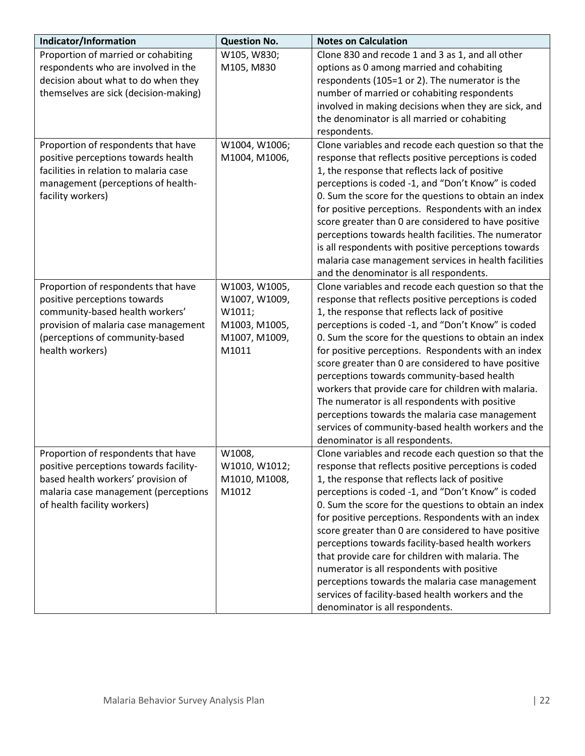| Indicator/Information                  | <b>Question No.</b> | <b>Notes on Calculation</b>                                                                           |
|----------------------------------------|---------------------|-------------------------------------------------------------------------------------------------------|
| Proportion of married or cohabiting    | W105, W830;         | Clone 830 and recode 1 and 3 as 1, and all other                                                      |
| respondents who are involved in the    | M105, M830          | options as 0 among married and cohabiting                                                             |
| decision about what to do when they    |                     | respondents (105=1 or 2). The numerator is the                                                        |
| themselves are sick (decision-making)  |                     | number of married or cohabiting respondents                                                           |
|                                        |                     | involved in making decisions when they are sick, and                                                  |
|                                        |                     | the denominator is all married or cohabiting                                                          |
|                                        |                     | respondents.                                                                                          |
| Proportion of respondents that have    | W1004, W1006;       | Clone variables and recode each question so that the                                                  |
| positive perceptions towards health    | M1004, M1006,       | response that reflects positive perceptions is coded                                                  |
| facilities in relation to malaria case |                     | 1, the response that reflects lack of positive                                                        |
| management (perceptions of health-     |                     | perceptions is coded -1, and "Don't Know" is coded                                                    |
| facility workers)                      |                     | 0. Sum the score for the questions to obtain an index                                                 |
|                                        |                     | for positive perceptions. Respondents with an index                                                   |
|                                        |                     | score greater than 0 are considered to have positive                                                  |
|                                        |                     | perceptions towards health facilities. The numerator                                                  |
|                                        |                     | is all respondents with positive perceptions towards                                                  |
|                                        |                     | malaria case management services in health facilities                                                 |
|                                        |                     | and the denominator is all respondents.                                                               |
| Proportion of respondents that have    | W1003, W1005,       | Clone variables and recode each question so that the                                                  |
| positive perceptions towards           | W1007, W1009,       | response that reflects positive perceptions is coded                                                  |
| community-based health workers'        | W1011;              | 1, the response that reflects lack of positive                                                        |
| provision of malaria case management   | M1003, M1005,       | perceptions is coded -1, and "Don't Know" is coded                                                    |
| (perceptions of community-based        | M1007, M1009,       | 0. Sum the score for the questions to obtain an index                                                 |
| health workers)                        | M1011               | for positive perceptions. Respondents with an index                                                   |
|                                        |                     | score greater than 0 are considered to have positive                                                  |
|                                        |                     | perceptions towards community-based health                                                            |
|                                        |                     | workers that provide care for children with malaria.                                                  |
|                                        |                     | The numerator is all respondents with positive                                                        |
|                                        |                     | perceptions towards the malaria case management<br>services of community-based health workers and the |
|                                        |                     | denominator is all respondents.                                                                       |
| Proportion of respondents that have    | W1008,              | Clone variables and recode each question so that the                                                  |
| positive perceptions towards facility- | W1010, W1012;       | response that reflects positive perceptions is coded                                                  |
| based health workers' provision of     | M1010, M1008,       | 1, the response that reflects lack of positive                                                        |
| malaria case management (perceptions   | M1012               | perceptions is coded -1, and "Don't Know" is coded                                                    |
| of health facility workers)            |                     | 0. Sum the score for the questions to obtain an index                                                 |
|                                        |                     | for positive perceptions. Respondents with an index                                                   |
|                                        |                     | score greater than 0 are considered to have positive                                                  |
|                                        |                     | perceptions towards facility-based health workers                                                     |
|                                        |                     | that provide care for children with malaria. The                                                      |
|                                        |                     | numerator is all respondents with positive                                                            |
|                                        |                     | perceptions towards the malaria case management                                                       |
|                                        |                     | services of facility-based health workers and the                                                     |
|                                        |                     | denominator is all respondents.                                                                       |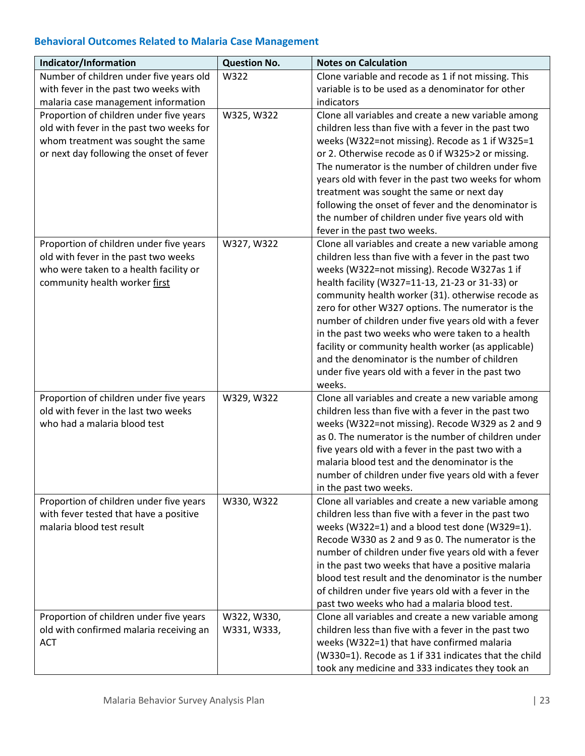# **Behavioral Outcomes Related to Malaria Case Management**

| Indicator/Information                    | <b>Question No.</b> | <b>Notes on Calculation</b>                           |
|------------------------------------------|---------------------|-------------------------------------------------------|
| Number of children under five years old  | W322                | Clone variable and recode as 1 if not missing. This   |
| with fever in the past two weeks with    |                     | variable is to be used as a denominator for other     |
| malaria case management information      |                     | indicators                                            |
| Proportion of children under five years  | W325, W322          | Clone all variables and create a new variable among   |
| old with fever in the past two weeks for |                     | children less than five with a fever in the past two  |
| whom treatment was sought the same       |                     | weeks (W322=not missing). Recode as 1 if W325=1       |
| or next day following the onset of fever |                     | or 2. Otherwise recode as 0 if W325>2 or missing.     |
|                                          |                     | The numerator is the number of children under five    |
|                                          |                     | years old with fever in the past two weeks for whom   |
|                                          |                     | treatment was sought the same or next day             |
|                                          |                     | following the onset of fever and the denominator is   |
|                                          |                     | the number of children under five years old with      |
|                                          |                     | fever in the past two weeks.                          |
| Proportion of children under five years  | W327, W322          | Clone all variables and create a new variable among   |
| old with fever in the past two weeks     |                     | children less than five with a fever in the past two  |
| who were taken to a health facility or   |                     | weeks (W322=not missing). Recode W327as 1 if          |
| community health worker first            |                     | health facility (W327=11-13, 21-23 or 31-33) or       |
|                                          |                     | community health worker (31). otherwise recode as     |
|                                          |                     | zero for other W327 options. The numerator is the     |
|                                          |                     | number of children under five years old with a fever  |
|                                          |                     | in the past two weeks who were taken to a health      |
|                                          |                     | facility or community health worker (as applicable)   |
|                                          |                     | and the denominator is the number of children         |
|                                          |                     | under five years old with a fever in the past two     |
|                                          |                     | weeks.                                                |
| Proportion of children under five years  | W329, W322          | Clone all variables and create a new variable among   |
| old with fever in the last two weeks     |                     | children less than five with a fever in the past two  |
| who had a malaria blood test             |                     | weeks (W322=not missing). Recode W329 as 2 and 9      |
|                                          |                     | as 0. The numerator is the number of children under   |
|                                          |                     | five years old with a fever in the past two with a    |
|                                          |                     | malaria blood test and the denominator is the         |
|                                          |                     | number of children under five years old with a fever  |
|                                          |                     | in the past two weeks.                                |
| Proportion of children under five years  | W330, W322          | Clone all variables and create a new variable among   |
| with fever tested that have a positive   |                     | children less than five with a fever in the past two  |
| malaria blood test result                |                     | weeks (W322=1) and a blood test done (W329=1).        |
|                                          |                     | Recode W330 as 2 and 9 as 0. The numerator is the     |
|                                          |                     | number of children under five years old with a fever  |
|                                          |                     | in the past two weeks that have a positive malaria    |
|                                          |                     | blood test result and the denominator is the number   |
|                                          |                     | of children under five years old with a fever in the  |
|                                          |                     | past two weeks who had a malaria blood test.          |
| Proportion of children under five years  | W322, W330,         | Clone all variables and create a new variable among   |
| old with confirmed malaria receiving an  | W331, W333,         | children less than five with a fever in the past two  |
| <b>ACT</b>                               |                     | weeks (W322=1) that have confirmed malaria            |
|                                          |                     | (W330=1). Recode as 1 if 331 indicates that the child |
|                                          |                     | took any medicine and 333 indicates they took an      |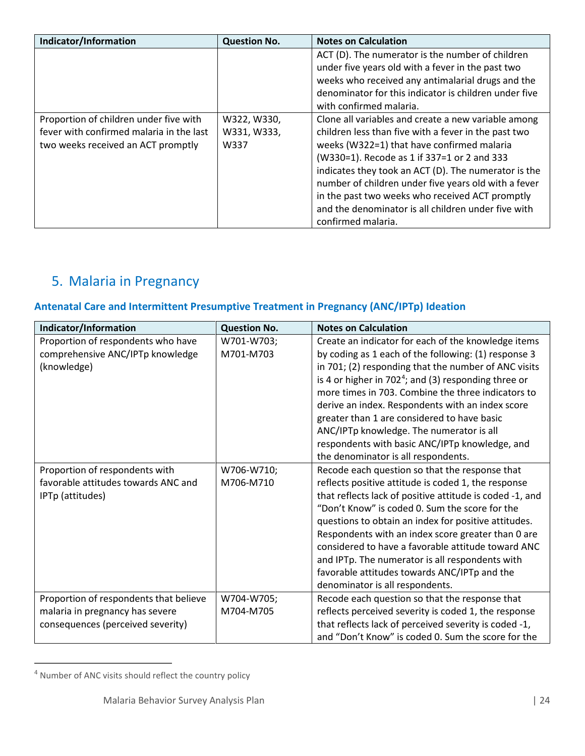| Indicator/Information                    | <b>Question No.</b> | <b>Notes on Calculation</b>                           |
|------------------------------------------|---------------------|-------------------------------------------------------|
|                                          |                     | ACT (D). The numerator is the number of children      |
|                                          |                     | under five years old with a fever in the past two     |
|                                          |                     | weeks who received any antimalarial drugs and the     |
|                                          |                     | denominator for this indicator is children under five |
|                                          |                     | with confirmed malaria.                               |
| Proportion of children under five with   | W322, W330,         | Clone all variables and create a new variable among   |
| fever with confirmed malaria in the last | W331, W333,         | children less than five with a fever in the past two  |
| two weeks received an ACT promptly       | W337                | weeks (W322=1) that have confirmed malaria            |
|                                          |                     | (W330=1). Recode as 1 if 337=1 or 2 and 333           |
|                                          |                     | indicates they took an ACT (D). The numerator is the  |
|                                          |                     | number of children under five years old with a fever  |
|                                          |                     | in the past two weeks who received ACT promptly       |
|                                          |                     | and the denominator is all children under five with   |
|                                          |                     | confirmed malaria.                                    |

# <span id="page-23-0"></span>5. Malaria in Pregnancy

# **Antenatal Care and Intermittent Presumptive Treatment in Pregnancy (ANC/IPTp) Ideation**

| Indicator/Information                  | <b>Question No.</b> | <b>Notes on Calculation</b>                              |
|----------------------------------------|---------------------|----------------------------------------------------------|
| Proportion of respondents who have     | W701-W703;          | Create an indicator for each of the knowledge items      |
| comprehensive ANC/IPTp knowledge       | M701-M703           | by coding as 1 each of the following: (1) response 3     |
| (knowledge)                            |                     | in 701; (2) responding that the number of ANC visits     |
|                                        |                     | is 4 or higher in $7024$ ; and (3) responding three or   |
|                                        |                     | more times in 703. Combine the three indicators to       |
|                                        |                     | derive an index. Respondents with an index score         |
|                                        |                     | greater than 1 are considered to have basic              |
|                                        |                     | ANC/IPTp knowledge. The numerator is all                 |
|                                        |                     | respondents with basic ANC/IPTp knowledge, and           |
|                                        |                     | the denominator is all respondents.                      |
| Proportion of respondents with         | W706-W710;          | Recode each question so that the response that           |
| favorable attitudes towards ANC and    | M706-M710           | reflects positive attitude is coded 1, the response      |
| IPTp (attitudes)                       |                     | that reflects lack of positive attitude is coded -1, and |
|                                        |                     | "Don't Know" is coded 0. Sum the score for the           |
|                                        |                     | questions to obtain an index for positive attitudes.     |
|                                        |                     | Respondents with an index score greater than 0 are       |
|                                        |                     | considered to have a favorable attitude toward ANC       |
|                                        |                     | and IPTp. The numerator is all respondents with          |
|                                        |                     | favorable attitudes towards ANC/IPTp and the             |
|                                        |                     | denominator is all respondents.                          |
| Proportion of respondents that believe | W704-W705;          | Recode each question so that the response that           |
| malaria in pregnancy has severe        | M704-M705           | reflects perceived severity is coded 1, the response     |
| consequences (perceived severity)      |                     | that reflects lack of perceived severity is coded -1,    |
|                                        |                     | and "Don't Know" is coded 0. Sum the score for the       |

<span id="page-23-1"></span><sup>4</sup> Number of ANC visits should reflect the country policy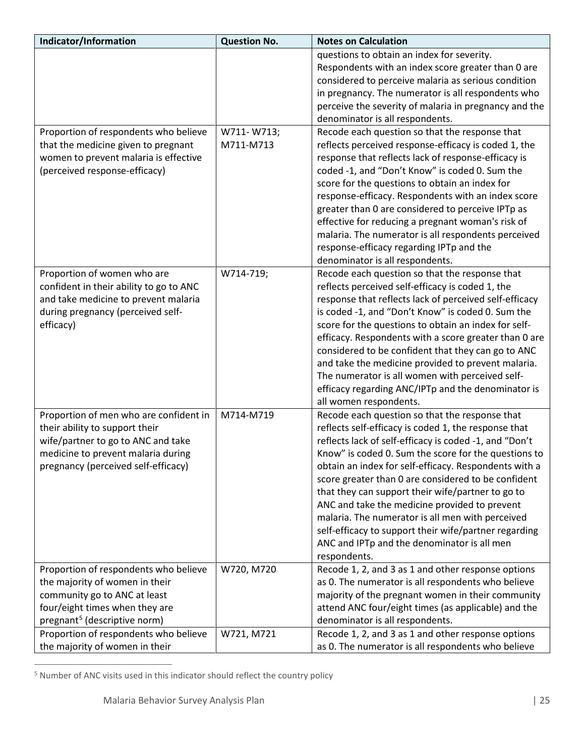| Indicator/Information                    | <b>Question No.</b> | <b>Notes on Calculation</b>                                                                              |
|------------------------------------------|---------------------|----------------------------------------------------------------------------------------------------------|
|                                          |                     | questions to obtain an index for severity.                                                               |
|                                          |                     | Respondents with an index score greater than 0 are                                                       |
|                                          |                     | considered to perceive malaria as serious condition                                                      |
|                                          |                     | in pregnancy. The numerator is all respondents who                                                       |
|                                          |                     | perceive the severity of malaria in pregnancy and the                                                    |
|                                          |                     | denominator is all respondents.                                                                          |
| Proportion of respondents who believe    | W711-W713;          | Recode each question so that the response that                                                           |
| that the medicine given to pregnant      | M711-M713           | reflects perceived response-efficacy is coded 1, the                                                     |
| women to prevent malaria is effective    |                     | response that reflects lack of response-efficacy is                                                      |
| (perceived response-efficacy)            |                     | coded -1, and "Don't Know" is coded 0. Sum the                                                           |
|                                          |                     | score for the questions to obtain an index for                                                           |
|                                          |                     | response-efficacy. Respondents with an index score                                                       |
|                                          |                     | greater than 0 are considered to perceive IPTp as<br>effective for reducing a pregnant woman's risk of   |
|                                          |                     | malaria. The numerator is all respondents perceived                                                      |
|                                          |                     | response-efficacy regarding IPTp and the                                                                 |
|                                          |                     | denominator is all respondents.                                                                          |
| Proportion of women who are              | W714-719;           | Recode each question so that the response that                                                           |
| confident in their ability to go to ANC  |                     | reflects perceived self-efficacy is coded 1, the                                                         |
| and take medicine to prevent malaria     |                     | response that reflects lack of perceived self-efficacy                                                   |
| during pregnancy (perceived self-        |                     | is coded -1, and "Don't Know" is coded 0. Sum the                                                        |
| efficacy)                                |                     | score for the questions to obtain an index for self-                                                     |
|                                          |                     | efficacy. Respondents with a score greater than 0 are                                                    |
|                                          |                     | considered to be confident that they can go to ANC                                                       |
|                                          |                     | and take the medicine provided to prevent malaria.                                                       |
|                                          |                     | The numerator is all women with perceived self-                                                          |
|                                          |                     | efficacy regarding ANC/IPTp and the denominator is                                                       |
|                                          |                     | all women respondents.                                                                                   |
| Proportion of men who are confident in   | M714-M719           | Recode each question so that the response that                                                           |
| their ability to support their           |                     | reflects self-efficacy is coded 1, the response that                                                     |
| wife/partner to go to ANC and take       |                     | reflects lack of self-efficacy is coded -1, and "Don't                                                   |
| medicine to prevent malaria during       |                     | Know" is coded 0. Sum the score for the questions to                                                     |
| pregnancy (perceived self-efficacy)      |                     | obtain an index for self-efficacy. Respondents with a                                                    |
|                                          |                     | score greater than 0 are considered to be confident<br>that they can support their wife/partner to go to |
|                                          |                     | ANC and take the medicine provided to prevent                                                            |
|                                          |                     | malaria. The numerator is all men with perceived                                                         |
|                                          |                     | self-efficacy to support their wife/partner regarding                                                    |
|                                          |                     | ANC and IPTp and the denominator is all men                                                              |
|                                          |                     | respondents.                                                                                             |
| Proportion of respondents who believe    | W720, M720          | Recode 1, 2, and 3 as 1 and other response options                                                       |
| the majority of women in their           |                     | as 0. The numerator is all respondents who believe                                                       |
| community go to ANC at least             |                     | majority of the pregnant women in their community                                                        |
| four/eight times when they are           |                     | attend ANC four/eight times (as applicable) and the                                                      |
| pregnant <sup>5</sup> (descriptive norm) |                     | denominator is all respondents.                                                                          |
| Proportion of respondents who believe    | W721, M721          | Recode 1, 2, and 3 as 1 and other response options                                                       |
| the majority of women in their           |                     | as 0. The numerator is all respondents who believe                                                       |

<span id="page-24-0"></span><sup>5</sup> Number of ANC visits used in this indicator should reflect the country policy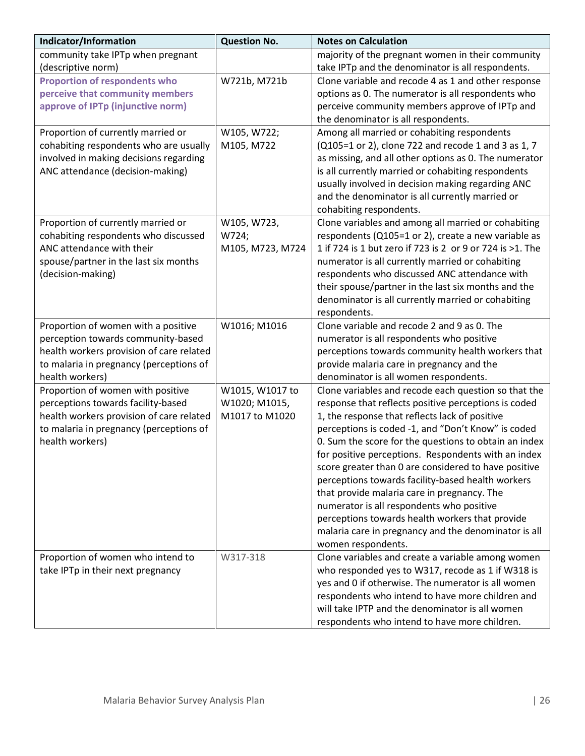| Indicator/Information                    | <b>Question No.</b> | <b>Notes on Calculation</b>                               |
|------------------------------------------|---------------------|-----------------------------------------------------------|
| community take IPTp when pregnant        |                     | majority of the pregnant women in their community         |
| (descriptive norm)                       |                     | take IPTp and the denominator is all respondents.         |
| <b>Proportion of respondents who</b>     | W721b, M721b        | Clone variable and recode 4 as 1 and other response       |
| perceive that community members          |                     | options as 0. The numerator is all respondents who        |
| approve of IPTp (injunctive norm)        |                     | perceive community members approve of IPTp and            |
|                                          |                     | the denominator is all respondents.                       |
| Proportion of currently married or       | W105, W722;         | Among all married or cohabiting respondents               |
| cohabiting respondents who are usually   | M105, M722          | (Q105=1 or 2), clone 722 and recode 1 and 3 as 1, 7       |
| involved in making decisions regarding   |                     | as missing, and all other options as 0. The numerator     |
| ANC attendance (decision-making)         |                     | is all currently married or cohabiting respondents        |
|                                          |                     | usually involved in decision making regarding ANC         |
|                                          |                     | and the denominator is all currently married or           |
|                                          |                     | cohabiting respondents.                                   |
| Proportion of currently married or       | W105, W723,         | Clone variables and among all married or cohabiting       |
| cohabiting respondents who discussed     | W724;               | respondents (Q105=1 or 2), create a new variable as       |
| ANC attendance with their                | M105, M723, M724    | 1 if 724 is 1 but zero if 723 is 2 or 9 or 724 is >1. The |
| spouse/partner in the last six months    |                     | numerator is all currently married or cohabiting          |
| (decision-making)                        |                     | respondents who discussed ANC attendance with             |
|                                          |                     | their spouse/partner in the last six months and the       |
|                                          |                     | denominator is all currently married or cohabiting        |
|                                          |                     | respondents.                                              |
| Proportion of women with a positive      | W1016; M1016        | Clone variable and recode 2 and 9 as 0. The               |
| perception towards community-based       |                     | numerator is all respondents who positive                 |
| health workers provision of care related |                     | perceptions towards community health workers that         |
| to malaria in pregnancy (perceptions of  |                     | provide malaria care in pregnancy and the                 |
| health workers)                          |                     | denominator is all women respondents.                     |
| Proportion of women with positive        | W1015, W1017 to     | Clone variables and recode each question so that the      |
| perceptions towards facility-based       | W1020; M1015,       | response that reflects positive perceptions is coded      |
| health workers provision of care related | M1017 to M1020      | 1, the response that reflects lack of positive            |
| to malaria in pregnancy (perceptions of  |                     | perceptions is coded -1, and "Don't Know" is coded        |
| health workers)                          |                     | 0. Sum the score for the questions to obtain an index     |
|                                          |                     | for positive perceptions. Respondents with an index       |
|                                          |                     | score greater than 0 are considered to have positive      |
|                                          |                     | perceptions towards facility-based health workers         |
|                                          |                     | that provide malaria care in pregnancy. The               |
|                                          |                     | numerator is all respondents who positive                 |
|                                          |                     | perceptions towards health workers that provide           |
|                                          |                     | malaria care in pregnancy and the denominator is all      |
|                                          |                     | women respondents.                                        |
| Proportion of women who intend to        | W317-318            | Clone variables and create a variable among women         |
| take IPTp in their next pregnancy        |                     | who responded yes to W317, recode as 1 if W318 is         |
|                                          |                     | yes and 0 if otherwise. The numerator is all women        |
|                                          |                     | respondents who intend to have more children and          |
|                                          |                     | will take IPTP and the denominator is all women           |
|                                          |                     | respondents who intend to have more children.             |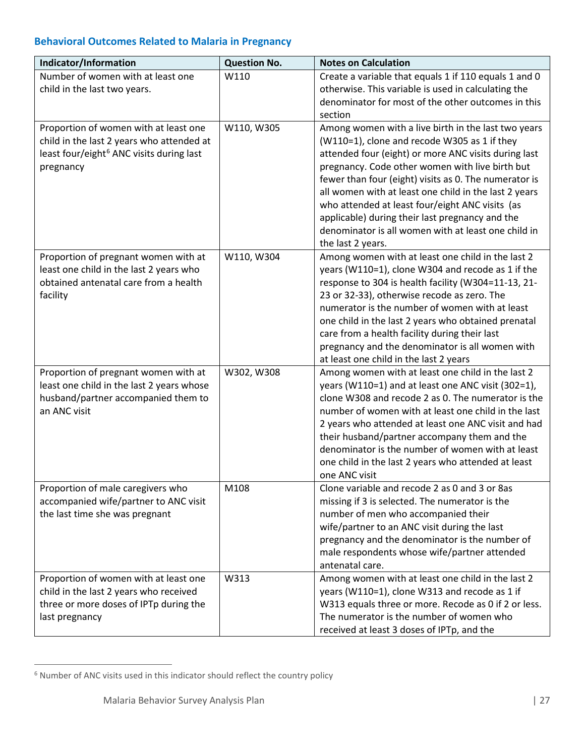### **Behavioral Outcomes Related to Malaria in Pregnancy**

| Indicator/Information                                | <b>Question No.</b> | <b>Notes on Calculation</b>                                                                             |
|------------------------------------------------------|---------------------|---------------------------------------------------------------------------------------------------------|
| Number of women with at least one                    | W110                | Create a variable that equals 1 if 110 equals 1 and 0                                                   |
| child in the last two years.                         |                     | otherwise. This variable is used in calculating the                                                     |
|                                                      |                     | denominator for most of the other outcomes in this                                                      |
|                                                      |                     | section                                                                                                 |
| Proportion of women with at least one                | W110, W305          | Among women with a live birth in the last two years                                                     |
| child in the last 2 years who attended at            |                     | (W110=1), clone and recode W305 as 1 if they                                                            |
| least four/eight <sup>6</sup> ANC visits during last |                     | attended four (eight) or more ANC visits during last<br>pregnancy. Code other women with live birth but |
| pregnancy                                            |                     | fewer than four (eight) visits as 0. The numerator is                                                   |
|                                                      |                     | all women with at least one child in the last 2 years                                                   |
|                                                      |                     | who attended at least four/eight ANC visits (as                                                         |
|                                                      |                     | applicable) during their last pregnancy and the                                                         |
|                                                      |                     | denominator is all women with at least one child in                                                     |
|                                                      |                     | the last 2 years.                                                                                       |
| Proportion of pregnant women with at                 | W110, W304          | Among women with at least one child in the last 2                                                       |
| least one child in the last 2 years who              |                     | years (W110=1), clone W304 and recode as 1 if the                                                       |
| obtained antenatal care from a health                |                     | response to 304 is health facility (W304=11-13, 21-                                                     |
| facility                                             |                     | 23 or 32-33), otherwise recode as zero. The                                                             |
|                                                      |                     | numerator is the number of women with at least                                                          |
|                                                      |                     | one child in the last 2 years who obtained prenatal                                                     |
|                                                      |                     | care from a health facility during their last                                                           |
|                                                      |                     | pregnancy and the denominator is all women with                                                         |
| Proportion of pregnant women with at                 | W302, W308          | at least one child in the last 2 years<br>Among women with at least one child in the last 2             |
| least one child in the last 2 years whose            |                     | years (W110=1) and at least one ANC visit (302=1),                                                      |
| husband/partner accompanied them to                  |                     | clone W308 and recode 2 as 0. The numerator is the                                                      |
| an ANC visit                                         |                     | number of women with at least one child in the last                                                     |
|                                                      |                     | 2 years who attended at least one ANC visit and had                                                     |
|                                                      |                     | their husband/partner accompany them and the                                                            |
|                                                      |                     | denominator is the number of women with at least                                                        |
|                                                      |                     | one child in the last 2 years who attended at least                                                     |
|                                                      |                     | one ANC visit                                                                                           |
| Proportion of male caregivers who                    | M108                | Clone variable and recode 2 as 0 and 3 or 8as                                                           |
| accompanied wife/partner to ANC visit                |                     | missing if 3 is selected. The numerator is the                                                          |
| the last time she was pregnant                       |                     | number of men who accompanied their                                                                     |
|                                                      |                     | wife/partner to an ANC visit during the last                                                            |
|                                                      |                     | pregnancy and the denominator is the number of<br>male respondents whose wife/partner attended          |
|                                                      |                     | antenatal care.                                                                                         |
| Proportion of women with at least one                | W313                | Among women with at least one child in the last 2                                                       |
| child in the last 2 years who received               |                     | years (W110=1), clone W313 and recode as 1 if                                                           |
| three or more doses of IPTp during the               |                     | W313 equals three or more. Recode as 0 if 2 or less.                                                    |
| last pregnancy                                       |                     | The numerator is the number of women who                                                                |
|                                                      |                     | received at least 3 doses of IPTp, and the                                                              |

<span id="page-26-0"></span><sup>6</sup> Number of ANC visits used in this indicator should reflect the country policy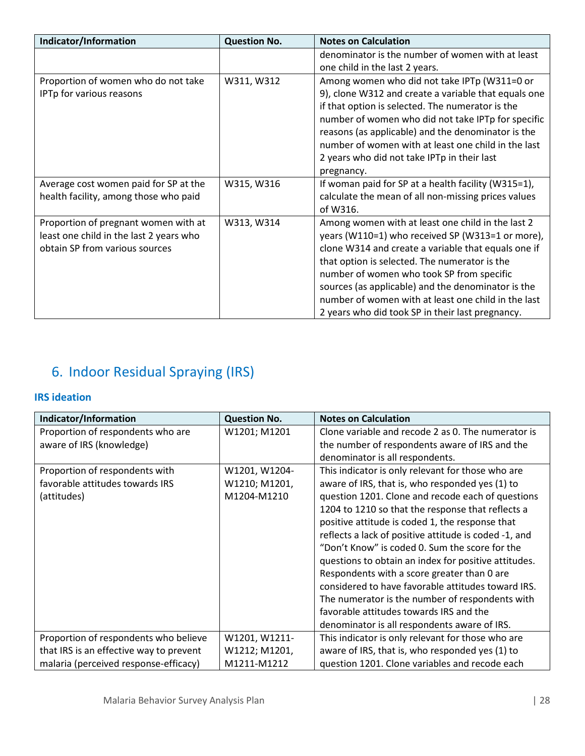| Indicator/Information                                                                                             | <b>Question No.</b> | <b>Notes on Calculation</b>                                                                                                                                                                                                                                                                                                                                                                                                 |
|-------------------------------------------------------------------------------------------------------------------|---------------------|-----------------------------------------------------------------------------------------------------------------------------------------------------------------------------------------------------------------------------------------------------------------------------------------------------------------------------------------------------------------------------------------------------------------------------|
|                                                                                                                   |                     | denominator is the number of women with at least                                                                                                                                                                                                                                                                                                                                                                            |
|                                                                                                                   |                     | one child in the last 2 years.                                                                                                                                                                                                                                                                                                                                                                                              |
| Proportion of women who do not take<br>IPTp for various reasons                                                   | W311, W312          | Among women who did not take IPTp (W311=0 or<br>9), clone W312 and create a variable that equals one<br>if that option is selected. The numerator is the<br>number of women who did not take IPTp for specific<br>reasons (as applicable) and the denominator is the<br>number of women with at least one child in the last<br>2 years who did not take IPTp in their last<br>pregnancy.                                    |
| Average cost women paid for SP at the<br>health facility, among those who paid                                    | W315, W316          | If woman paid for SP at a health facility (W315=1),<br>calculate the mean of all non-missing prices values<br>of W316.                                                                                                                                                                                                                                                                                                      |
| Proportion of pregnant women with at<br>least one child in the last 2 years who<br>obtain SP from various sources | W313, W314          | Among women with at least one child in the last 2<br>years (W110=1) who received SP (W313=1 or more),<br>clone W314 and create a variable that equals one if<br>that option is selected. The numerator is the<br>number of women who took SP from specific<br>sources (as applicable) and the denominator is the<br>number of women with at least one child in the last<br>2 years who did took SP in their last pregnancy. |

# <span id="page-27-0"></span>6. Indoor Residual Spraying (IRS)

### **IRS ideation**

| Indicator/Information                   | <b>Question No.</b> | <b>Notes on Calculation</b>                           |
|-----------------------------------------|---------------------|-------------------------------------------------------|
| Proportion of respondents who are       | W1201; M1201        | Clone variable and recode 2 as 0. The numerator is    |
| aware of IRS (knowledge)                |                     | the number of respondents aware of IRS and the        |
|                                         |                     | denominator is all respondents.                       |
| Proportion of respondents with          | W1201, W1204-       | This indicator is only relevant for those who are     |
| favorable attitudes towards IRS         | W1210; M1201,       | aware of IRS, that is, who responded yes (1) to       |
| (attitudes)                             | M1204-M1210         | question 1201. Clone and recode each of questions     |
|                                         |                     | 1204 to 1210 so that the response that reflects a     |
|                                         |                     | positive attitude is coded 1, the response that       |
|                                         |                     | reflects a lack of positive attitude is coded -1, and |
|                                         |                     | "Don't Know" is coded 0. Sum the score for the        |
|                                         |                     | questions to obtain an index for positive attitudes.  |
|                                         |                     | Respondents with a score greater than 0 are           |
|                                         |                     | considered to have favorable attitudes toward IRS.    |
|                                         |                     | The numerator is the number of respondents with       |
|                                         |                     | favorable attitudes towards IRS and the               |
|                                         |                     | denominator is all respondents aware of IRS.          |
| Proportion of respondents who believe   | W1201, W1211-       | This indicator is only relevant for those who are     |
| that IRS is an effective way to prevent | W1212; M1201,       | aware of IRS, that is, who responded yes (1) to       |
| malaria (perceived response-efficacy)   | M1211-M1212         | question 1201. Clone variables and recode each        |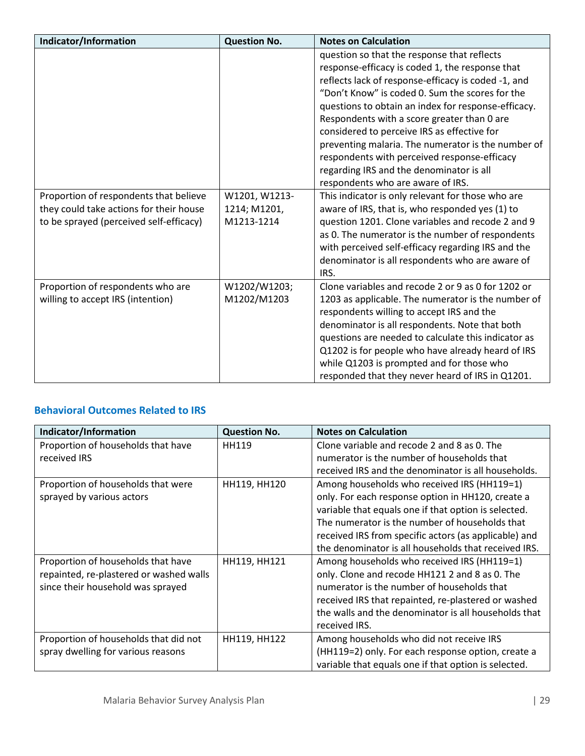| Indicator/Information                                                                                                        | <b>Question No.</b>                         | <b>Notes on Calculation</b>                                                                                                                                                                                                                                                                                                                                                                                                                                                                                                                          |
|------------------------------------------------------------------------------------------------------------------------------|---------------------------------------------|------------------------------------------------------------------------------------------------------------------------------------------------------------------------------------------------------------------------------------------------------------------------------------------------------------------------------------------------------------------------------------------------------------------------------------------------------------------------------------------------------------------------------------------------------|
|                                                                                                                              |                                             | question so that the response that reflects<br>response-efficacy is coded 1, the response that<br>reflects lack of response-efficacy is coded -1, and<br>"Don't Know" is coded 0. Sum the scores for the<br>questions to obtain an index for response-efficacy.<br>Respondents with a score greater than 0 are<br>considered to perceive IRS as effective for<br>preventing malaria. The numerator is the number of<br>respondents with perceived response-efficacy<br>regarding IRS and the denominator is all<br>respondents who are aware of IRS. |
| Proportion of respondents that believe<br>they could take actions for their house<br>to be sprayed (perceived self-efficacy) | W1201, W1213-<br>1214; M1201,<br>M1213-1214 | This indicator is only relevant for those who are<br>aware of IRS, that is, who responded yes (1) to<br>question 1201. Clone variables and recode 2 and 9<br>as 0. The numerator is the number of respondents<br>with perceived self-efficacy regarding IRS and the<br>denominator is all respondents who are aware of<br>IRS.                                                                                                                                                                                                                       |
| Proportion of respondents who are<br>willing to accept IRS (intention)                                                       | W1202/W1203;<br>M1202/M1203                 | Clone variables and recode 2 or 9 as 0 for 1202 or<br>1203 as applicable. The numerator is the number of<br>respondents willing to accept IRS and the<br>denominator is all respondents. Note that both<br>questions are needed to calculate this indicator as<br>Q1202 is for people who have already heard of IRS<br>while Q1203 is prompted and for those who<br>responded that they never heard of IRS in Q1201.                                                                                                                                 |

### **Behavioral Outcomes Related to IRS**

| Indicator/Information                   | <b>Question No.</b> | <b>Notes on Calculation</b>                           |
|-----------------------------------------|---------------------|-------------------------------------------------------|
| Proportion of households that have      | <b>HH119</b>        | Clone variable and recode 2 and 8 as 0. The           |
| received IRS                            |                     | numerator is the number of households that            |
|                                         |                     | received IRS and the denominator is all households.   |
| Proportion of households that were      | HH119, HH120        | Among households who received IRS (HH119=1)           |
| sprayed by various actors               |                     | only. For each response option in HH120, create a     |
|                                         |                     | variable that equals one if that option is selected.  |
|                                         |                     | The numerator is the number of households that        |
|                                         |                     | received IRS from specific actors (as applicable) and |
|                                         |                     | the denominator is all households that received IRS.  |
| Proportion of households that have      | HH119, HH121        | Among households who received IRS (HH119=1)           |
| repainted, re-plastered or washed walls |                     | only. Clone and recode HH121 2 and 8 as 0. The        |
| since their household was sprayed       |                     | numerator is the number of households that            |
|                                         |                     | received IRS that repainted, re-plastered or washed   |
|                                         |                     | the walls and the denominator is all households that  |
|                                         |                     | received IRS.                                         |
| Proportion of households that did not   | HH119, HH122        | Among households who did not receive IRS              |
| spray dwelling for various reasons      |                     | (HH119=2) only. For each response option, create a    |
|                                         |                     | variable that equals one if that option is selected.  |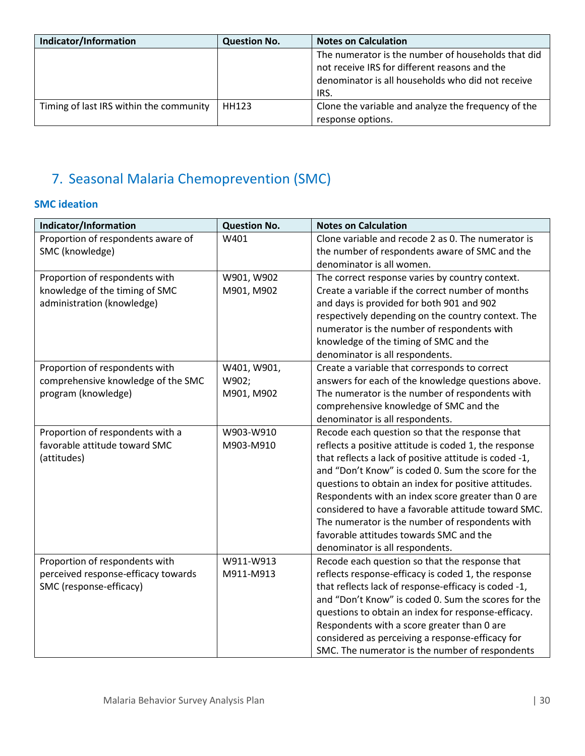| Indicator/Information                   | <b>Question No.</b> | <b>Notes on Calculation</b>                         |
|-----------------------------------------|---------------------|-----------------------------------------------------|
|                                         |                     | The numerator is the number of households that did  |
|                                         |                     | not receive IRS for different reasons and the       |
|                                         |                     | denominator is all households who did not receive   |
|                                         |                     | IRS.                                                |
| Timing of last IRS within the community | HH123               | Clone the variable and analyze the frequency of the |
|                                         |                     | response options.                                   |

# <span id="page-29-0"></span>7. Seasonal Malaria Chemoprevention (SMC)

### **SMC ideation**

| Indicator/Information               | <b>Question No.</b> | <b>Notes on Calculation</b>                            |
|-------------------------------------|---------------------|--------------------------------------------------------|
| Proportion of respondents aware of  | W401                | Clone variable and recode 2 as 0. The numerator is     |
| SMC (knowledge)                     |                     | the number of respondents aware of SMC and the         |
|                                     |                     | denominator is all women.                              |
| Proportion of respondents with      | W901, W902          | The correct response varies by country context.        |
| knowledge of the timing of SMC      | M901, M902          | Create a variable if the correct number of months      |
| administration (knowledge)          |                     | and days is provided for both 901 and 902              |
|                                     |                     | respectively depending on the country context. The     |
|                                     |                     | numerator is the number of respondents with            |
|                                     |                     | knowledge of the timing of SMC and the                 |
|                                     |                     | denominator is all respondents.                        |
| Proportion of respondents with      | W401, W901,         | Create a variable that corresponds to correct          |
| comprehensive knowledge of the SMC  | W902;               | answers for each of the knowledge questions above.     |
| program (knowledge)                 | M901, M902          | The numerator is the number of respondents with        |
|                                     |                     | comprehensive knowledge of SMC and the                 |
|                                     |                     | denominator is all respondents.                        |
| Proportion of respondents with a    | W903-W910           | Recode each question so that the response that         |
| favorable attitude toward SMC       | M903-M910           | reflects a positive attitude is coded 1, the response  |
| (attitudes)                         |                     | that reflects a lack of positive attitude is coded -1, |
|                                     |                     | and "Don't Know" is coded 0. Sum the score for the     |
|                                     |                     | questions to obtain an index for positive attitudes.   |
|                                     |                     | Respondents with an index score greater than 0 are     |
|                                     |                     | considered to have a favorable attitude toward SMC.    |
|                                     |                     | The numerator is the number of respondents with        |
|                                     |                     | favorable attitudes towards SMC and the                |
|                                     |                     | denominator is all respondents.                        |
| Proportion of respondents with      | W911-W913           | Recode each question so that the response that         |
| perceived response-efficacy towards | M911-M913           | reflects response-efficacy is coded 1, the response    |
| SMC (response-efficacy)             |                     | that reflects lack of response-efficacy is coded -1,   |
|                                     |                     | and "Don't Know" is coded 0. Sum the scores for the    |
|                                     |                     | questions to obtain an index for response-efficacy.    |
|                                     |                     | Respondents with a score greater than 0 are            |
|                                     |                     | considered as perceiving a response-efficacy for       |
|                                     |                     | SMC. The numerator is the number of respondents        |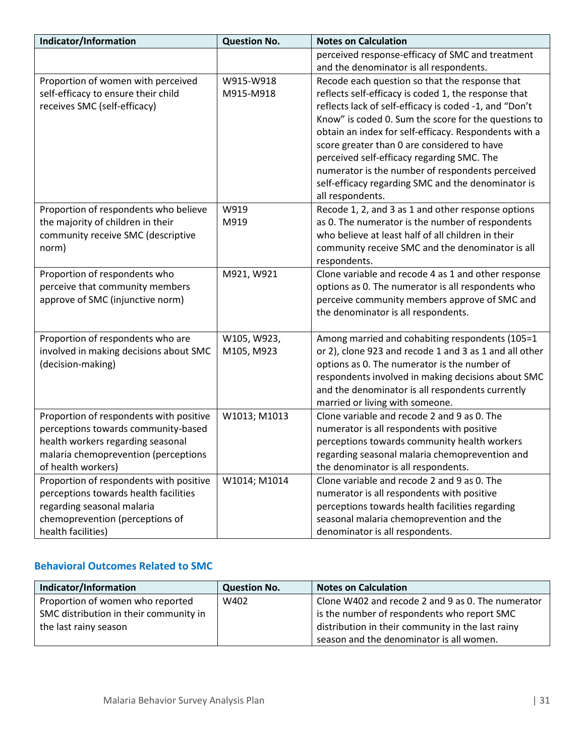| Indicator/Information                   | <b>Question No.</b> | <b>Notes on Calculation</b>                            |
|-----------------------------------------|---------------------|--------------------------------------------------------|
|                                         |                     | perceived response-efficacy of SMC and treatment       |
|                                         |                     | and the denominator is all respondents.                |
| Proportion of women with perceived      | W915-W918           | Recode each question so that the response that         |
| self-efficacy to ensure their child     | M915-M918           | reflects self-efficacy is coded 1, the response that   |
| receives SMC (self-efficacy)            |                     | reflects lack of self-efficacy is coded -1, and "Don't |
|                                         |                     | Know" is coded 0. Sum the score for the questions to   |
|                                         |                     | obtain an index for self-efficacy. Respondents with a  |
|                                         |                     | score greater than 0 are considered to have            |
|                                         |                     | perceived self-efficacy regarding SMC. The             |
|                                         |                     | numerator is the number of respondents perceived       |
|                                         |                     | self-efficacy regarding SMC and the denominator is     |
|                                         |                     | all respondents.                                       |
| Proportion of respondents who believe   | W919                | Recode 1, 2, and 3 as 1 and other response options     |
| the majority of children in their       | M919                | as 0. The numerator is the number of respondents       |
| community receive SMC (descriptive      |                     | who believe at least half of all children in their     |
| norm)                                   |                     | community receive SMC and the denominator is all       |
|                                         |                     | respondents.                                           |
| Proportion of respondents who           | M921, W921          | Clone variable and recode 4 as 1 and other response    |
| perceive that community members         |                     | options as 0. The numerator is all respondents who     |
| approve of SMC (injunctive norm)        |                     | perceive community members approve of SMC and          |
|                                         |                     | the denominator is all respondents.                    |
|                                         |                     |                                                        |
| Proportion of respondents who are       | W105, W923,         | Among married and cohabiting respondents (105=1        |
| involved in making decisions about SMC  | M105, M923          | or 2), clone 923 and recode 1 and 3 as 1 and all other |
| (decision-making)                       |                     | options as 0. The numerator is the number of           |
|                                         |                     | respondents involved in making decisions about SMC     |
|                                         |                     | and the denominator is all respondents currently       |
|                                         |                     | married or living with someone.                        |
| Proportion of respondents with positive | W1013; M1013        | Clone variable and recode 2 and 9 as 0. The            |
| perceptions towards community-based     |                     | numerator is all respondents with positive             |
| health workers regarding seasonal       |                     | perceptions towards community health workers           |
| malaria chemoprevention (perceptions    |                     | regarding seasonal malaria chemoprevention and         |
| of health workers)                      |                     | the denominator is all respondents.                    |
| Proportion of respondents with positive | W1014; M1014        | Clone variable and recode 2 and 9 as 0. The            |
| perceptions towards health facilities   |                     | numerator is all respondents with positive             |
| regarding seasonal malaria              |                     | perceptions towards health facilities regarding        |
| chemoprevention (perceptions of         |                     | seasonal malaria chemoprevention and the               |
| health facilities)                      |                     | denominator is all respondents.                        |

### **Behavioral Outcomes Related to SMC**

| Indicator/Information                  | <b>Question No.</b> | <b>Notes on Calculation</b>                       |
|----------------------------------------|---------------------|---------------------------------------------------|
| Proportion of women who reported       | W402                | Clone W402 and recode 2 and 9 as 0. The numerator |
| SMC distribution in their community in |                     | is the number of respondents who report SMC       |
| the last rainy season                  |                     | distribution in their community in the last rainy |
|                                        |                     | season and the denominator is all women.          |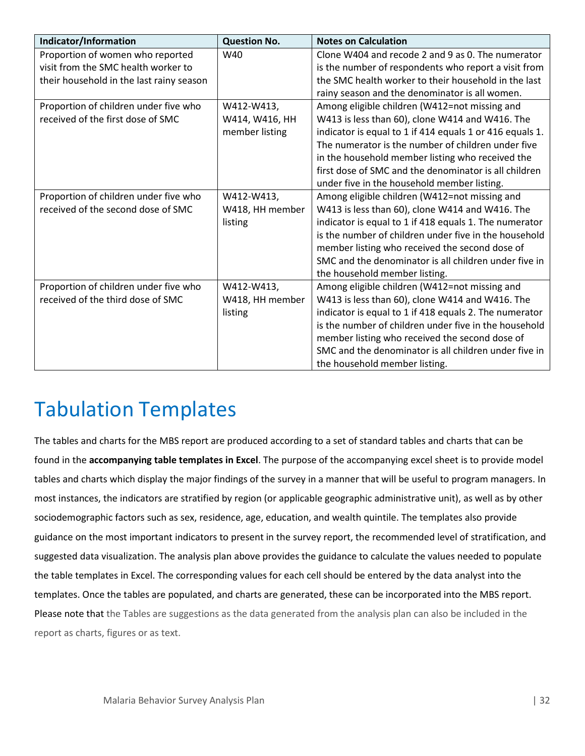| Indicator/Information                    | <b>Question No.</b> | <b>Notes on Calculation</b>                              |
|------------------------------------------|---------------------|----------------------------------------------------------|
| Proportion of women who reported         | W40                 | Clone W404 and recode 2 and 9 as 0. The numerator        |
| visit from the SMC health worker to      |                     | is the number of respondents who report a visit from     |
| their household in the last rainy season |                     | the SMC health worker to their household in the last     |
|                                          |                     | rainy season and the denominator is all women.           |
| Proportion of children under five who    | W412-W413,          | Among eligible children (W412=not missing and            |
| received of the first dose of SMC        | W414, W416, HH      | W413 is less than 60), clone W414 and W416. The          |
|                                          | member listing      | indicator is equal to 1 if 414 equals 1 or 416 equals 1. |
|                                          |                     | The numerator is the number of children under five       |
|                                          |                     | in the household member listing who received the         |
|                                          |                     | first dose of SMC and the denominator is all children    |
|                                          |                     | under five in the household member listing.              |
| Proportion of children under five who    | W412-W413,          | Among eligible children (W412=not missing and            |
| received of the second dose of SMC       | W418, HH member     | W413 is less than 60), clone W414 and W416. The          |
|                                          | listing             | indicator is equal to 1 if 418 equals 1. The numerator   |
|                                          |                     | is the number of children under five in the household    |
|                                          |                     | member listing who received the second dose of           |
|                                          |                     | SMC and the denominator is all children under five in    |
|                                          |                     | the household member listing.                            |
| Proportion of children under five who    | W412-W413,          | Among eligible children (W412=not missing and            |
| received of the third dose of SMC        | W418, HH member     | W413 is less than 60), clone W414 and W416. The          |
|                                          | listing             | indicator is equal to 1 if 418 equals 2. The numerator   |
|                                          |                     | is the number of children under five in the household    |
|                                          |                     | member listing who received the second dose of           |
|                                          |                     | SMC and the denominator is all children under five in    |
|                                          |                     | the household member listing.                            |

# <span id="page-31-0"></span>Tabulation Templates

The tables and charts for the MBS report are produced according to a set of standard tables and charts that can be found in the **accompanying table templates in Excel**. The purpose of the accompanying excel sheet is to provide model tables and charts which display the major findings of the survey in a manner that will be useful to program managers. In most instances, the indicators are stratified by region (or applicable geographic administrative unit), as well as by other sociodemographic factors such as sex, residence, age, education, and wealth quintile. The templates also provide guidance on the most important indicators to present in the survey report, the recommended level of stratification, and suggested data visualization. The analysis plan above provides the guidance to calculate the values needed to populate the table templates in Excel. The corresponding values for each cell should be entered by the data analyst into the templates. Once the tables are populated, and charts are generated, these can be incorporated into the MBS report. Please note that the Tables are suggestions as the data generated from the analysis plan can also be included in the report as charts, figures or as text.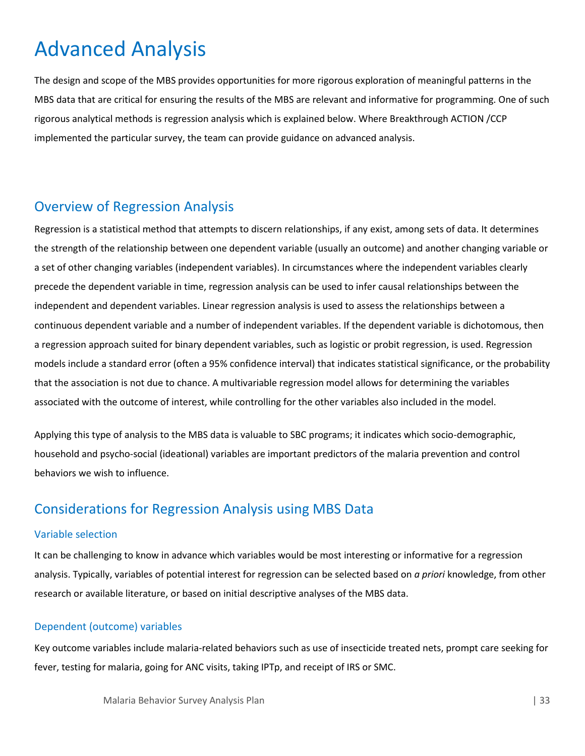# <span id="page-32-0"></span>Advanced Analysis

The design and scope of the MBS provides opportunities for more rigorous exploration of meaningful patterns in the MBS data that are critical for ensuring the results of the MBS are relevant and informative for programming. One of such rigorous analytical methods is regression analysis which is explained below. Where Breakthrough ACTION /CCP implemented the particular survey, the team can provide guidance on advanced analysis.

# <span id="page-32-1"></span>Overview of Regression Analysis

Regression is a statistical method that attempts to discern relationships, if any exist, among sets of data. It determines the strength of the relationship between one dependent variable (usually an outcome) and another changing variable or a set of other changing variables (independent variables). In circumstances where the independent variables clearly precede the dependent variable in time, regression analysis can be used to infer causal relationships between the independent and dependent variables. Linear regression analysis is used to assess the relationships between a continuous dependent variable and a number of independent variables. If the dependent variable is dichotomous, then a regression approach suited for binary dependent variables, such as logistic or probit regression, is used. Regression models include a standard error (often a 95% confidence interval) that indicates statistical significance, or the probability that the association is not due to chance. A multivariable regression model allows for determining the variables associated with the outcome of interest, while controlling for the other variables also included in the model.

Applying this type of analysis to the MBS data is valuable to SBC programs; it indicates which socio-demographic, household and psycho-social (ideational) variables are important predictors of the malaria prevention and control behaviors we wish to influence.

# <span id="page-32-2"></span>Considerations for Regression Analysis using MBS Data

#### Variable selection

It can be challenging to know in advance which variables would be most interesting or informative for a regression analysis. Typically, variables of potential interest for regression can be selected based on *a priori* knowledge, from other research or available literature, or based on initial descriptive analyses of the MBS data.

#### Dependent (outcome) variables

Key outcome variables include malaria-related behaviors such as use of insecticide treated nets, prompt care seeking for fever, testing for malaria, going for ANC visits, taking IPTp, and receipt of IRS or SMC.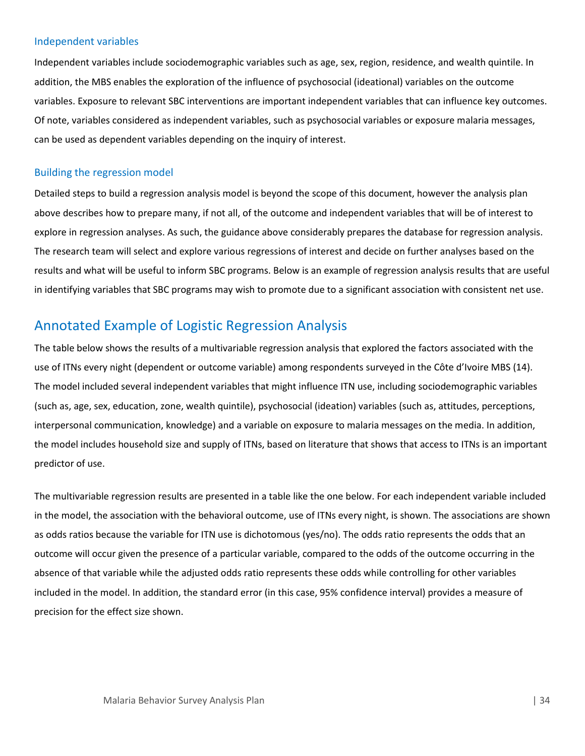#### Independent variables

Independent variables include sociodemographic variables such as age, sex, region, residence, and wealth quintile. In addition, the MBS enables the exploration of the influence of psychosocial (ideational) variables on the outcome variables. Exposure to relevant SBC interventions are important independent variables that can influence key outcomes. Of note, variables considered as independent variables, such as psychosocial variables or exposure malaria messages, can be used as dependent variables depending on the inquiry of interest.

#### Building the regression model

Detailed steps to build a regression analysis model is beyond the scope of this document, however the analysis plan above describes how to prepare many, if not all, of the outcome and independent variables that will be of interest to explore in regression analyses. As such, the guidance above considerably prepares the database for regression analysis. The research team will select and explore various regressions of interest and decide on further analyses based on the results and what will be useful to inform SBC programs. Below is an example of regression analysis results that are useful in identifying variables that SBC programs may wish to promote due to a significant association with consistent net use.

# <span id="page-33-0"></span>Annotated Example of Logistic Regression Analysis

The table below shows the results of a multivariable regression analysis that explored the factors associated with the use of ITNs every night (dependent or outcome variable) among respondents surveyed in the Côte d'Ivoire MBS (14). The model included several independent variables that might influence ITN use, including sociodemographic variables (such as, age, sex, education, zone, wealth quintile), psychosocial (ideation) variables (such as, attitudes, perceptions, interpersonal communication, knowledge) and a variable on exposure to malaria messages on the media. In addition, the model includes household size and supply of ITNs, based on literature that shows that access to ITNs is an important predictor of use.

The multivariable regression results are presented in a table like the one below. For each independent variable included in the model, the association with the behavioral outcome, use of ITNs every night, is shown. The associations are shown as odds ratios because the variable for ITN use is dichotomous (yes/no). The odds ratio represents the odds that an outcome will occur given the presence of a particular variable, compared to the odds of the outcome occurring in the absence of that variable while the adjusted odds ratio represents these odds while controlling for other variables included in the model. In addition, the standard error (in this case, 95% confidence interval) provides a measure of precision for the effect size shown.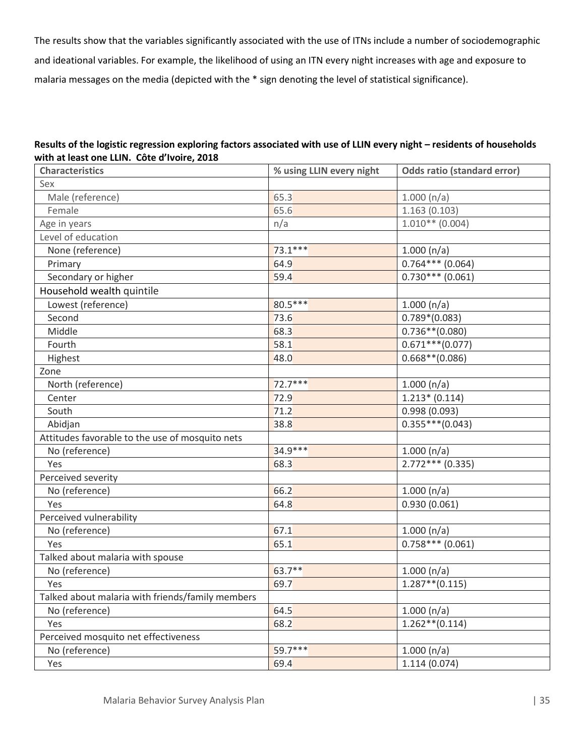The results show that the variables significantly associated with the use of ITNs include a number of sociodemographic and ideational variables. For example, the likelihood of using an ITN every night increases with age and exposure to malaria messages on the media (depicted with the \* sign denoting the level of statistical significance).

#### **Results of the logistic regression exploring factors associated with use of LLIN every night – residents of households with at least one LLIN. Côte d'Ivoire, 2018**

| <b>Characteristics</b>                           | % using LLIN every night | <b>Odds ratio (standard error)</b> |
|--------------------------------------------------|--------------------------|------------------------------------|
| Sex                                              |                          |                                    |
| Male (reference)                                 | 65.3                     | 1.000(n/a)                         |
| Female                                           | 65.6                     | 1.163(0.103)                       |
| Age in years                                     | n/a                      | $1.010**$ (0.004)                  |
| Level of education                               |                          |                                    |
| None (reference)                                 | $73.1***$                | 1.000(n/a)                         |
| Primary                                          | 64.9                     | $0.764***$ (0.064)                 |
| Secondary or higher                              | 59.4                     | $0.730***$ (0.061)                 |
| Household wealth quintile                        |                          |                                    |
| Lowest (reference)                               | 80.5***                  | 1.000(n/a)                         |
| Second                                           | 73.6                     | $0.789*(0.083)$                    |
| Middle                                           | 68.3                     | $0.736**$ (0.080)                  |
| Fourth                                           | 58.1                     | $0.671***$ (0.077)                 |
| Highest                                          | 48.0                     | $0.668**$ (0.086)                  |
| Zone                                             |                          |                                    |
| North (reference)                                | $72.7***$                | 1.000(n/a)                         |
| Center                                           | 72.9                     | $1.213*(0.114)$                    |
| South                                            | 71.2                     | 0.998(0.093)                       |
| Abidjan                                          | 38.8                     | $0.355***(0.043)$                  |
| Attitudes favorable to the use of mosquito nets  |                          |                                    |
| No (reference)                                   | 34.9 ***                 | 1.000(n/a)                         |
| Yes                                              | 68.3                     | $2.772***$ (0.335)                 |
| Perceived severity                               |                          |                                    |
| No (reference)                                   | 66.2                     | 1.000(n/a)                         |
| Yes                                              | 64.8                     | 0.930(0.061)                       |
| Perceived vulnerability                          |                          |                                    |
| No (reference)                                   | 67.1                     | 1.000(n/a)                         |
| Yes                                              | 65.1                     | $0.758***$ (0.061)                 |
| Talked about malaria with spouse                 |                          |                                    |
| No (reference)                                   | 63.7**                   | 1.000(n/a)                         |
| Yes                                              | 69.7                     | $1.287**$ (0.115)                  |
| Talked about malaria with friends/family members |                          |                                    |
| No (reference)                                   | 64.5                     | 1.000(n/a)                         |
| Yes                                              | 68.2                     | $1.262**$ (0.114)                  |
| Perceived mosquito net effectiveness             |                          |                                    |
| No (reference)                                   | $59.7***$                | 1.000(n/a)                         |
| Yes                                              | 69.4                     | 1.114(0.074)                       |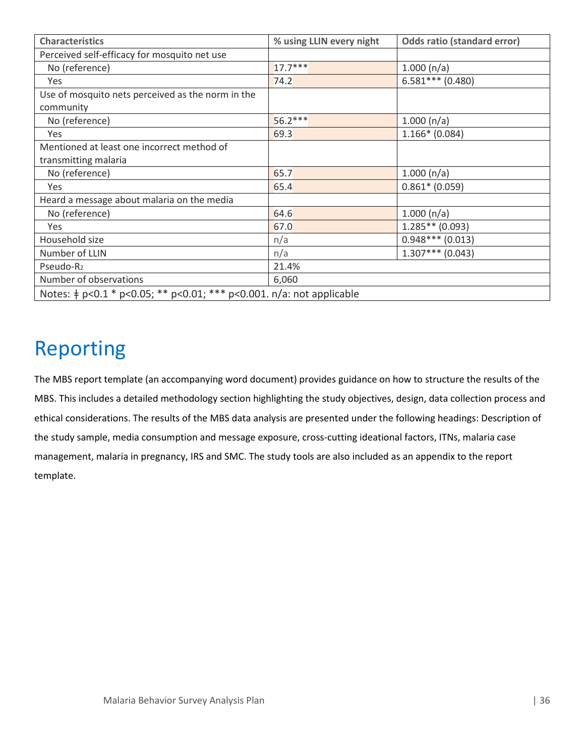| <b>Characteristics</b>                                                    | % using LLIN every night | <b>Odds ratio (standard error)</b> |  |  |
|---------------------------------------------------------------------------|--------------------------|------------------------------------|--|--|
| Perceived self-efficacy for mosquito net use                              |                          |                                    |  |  |
| No (reference)                                                            | $17.7***$                | 1.000(n/a)                         |  |  |
| Yes                                                                       | 74.2                     | $6.581***$ (0.480)                 |  |  |
| Use of mosquito nets perceived as the norm in the                         |                          |                                    |  |  |
| community                                                                 |                          |                                    |  |  |
| No (reference)                                                            | $56.2***$                | 1.000(n/a)                         |  |  |
| Yes                                                                       | 69.3                     | $1.166*(0.084)$                    |  |  |
| Mentioned at least one incorrect method of                                |                          |                                    |  |  |
| transmitting malaria                                                      |                          |                                    |  |  |
| No (reference)                                                            | 65.7                     | 1.000(n/a)                         |  |  |
| Yes                                                                       | 65.4                     | $0.861* (0.059)$                   |  |  |
| Heard a message about malaria on the media                                |                          |                                    |  |  |
| No (reference)                                                            | 64.6                     | 1.000(n/a)                         |  |  |
| Yes                                                                       | 67.0                     | $1.285**$ (0.093)                  |  |  |
| Household size                                                            | n/a                      | $0.948***$ (0.013)                 |  |  |
| Number of LLIN                                                            | n/a                      | $1.307***$ (0.043)                 |  |  |
| Pseudo-R <sub>2</sub>                                                     | 21.4%                    |                                    |  |  |
| Number of observations                                                    | 6,060                    |                                    |  |  |
| Notes: $\neq$ p<0.1 * p<0.05; ** p<0.01; *** p<0.001. n/a: not applicable |                          |                                    |  |  |

# <span id="page-35-0"></span>Reporting

The MBS report template (an accompanying word document) provides guidance on how to structure the results of the MBS. This includes a detailed methodology section highlighting the study objectives, design, data collection process and ethical considerations. The results of the MBS data analysis are presented under the following headings: Description of the study sample, media consumption and message exposure, cross-cutting ideational factors, ITNs, malaria case management, malaria in pregnancy, IRS and SMC. The study tools are also included as an appendix to the report template.